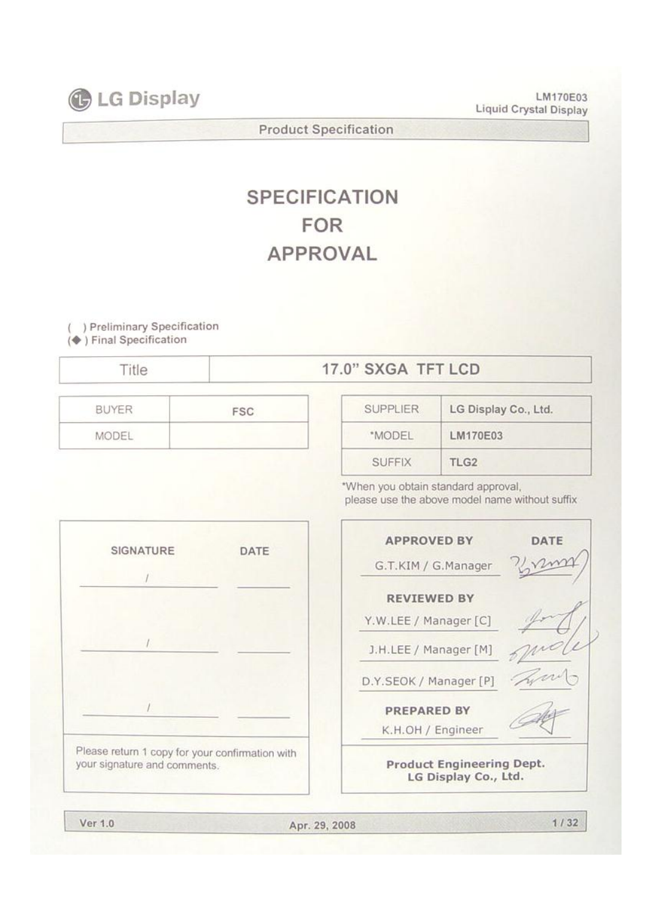**C** LG Display

**LM170E03 Liquid Crystal Display**

**Product Specification**

# **SPECIFICATION FOR APPROVAL**

**( ) Preliminary Specification (**◆ **) Final Specification**

# Title **17.0" SXGA TFT LCD**

| <b>BUYER</b> | <b>FSC</b> |
|--------------|------------|
| MODEL        |            |

| <b>SUPPLIER</b> | LG Display Co., Ltd. |
|-----------------|----------------------|
| *MODEL          | LM170E03             |
| <b>SUFFIX</b>   | TLG <sub>2</sub>     |

\*When you obtain standard approval, please use the above model name without suffix





**Ver 1.0 Apr. 29, 2008**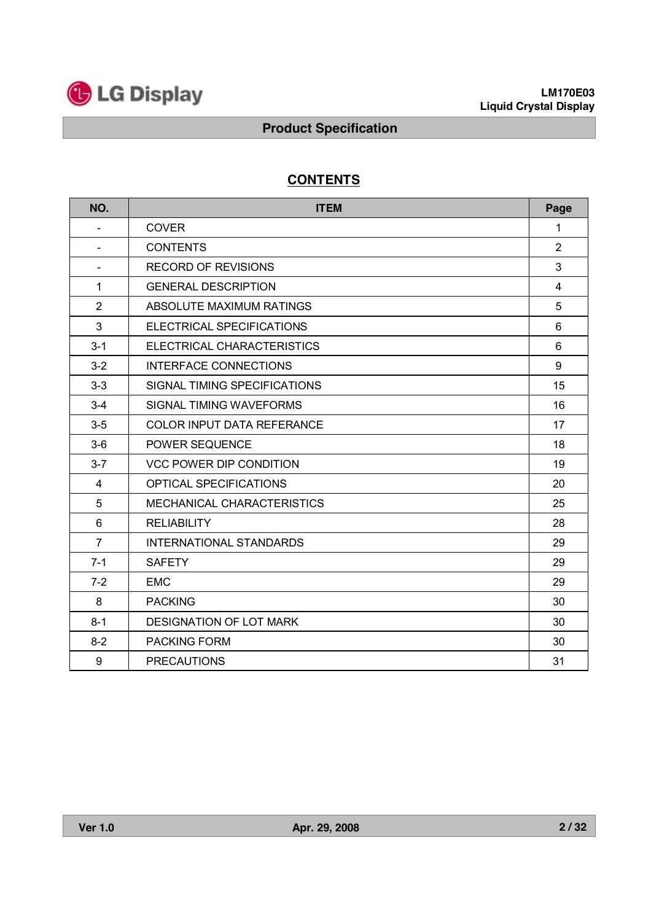

# **CONTENTS**

| NO.                      | <b>ITEM</b>                       | Page           |
|--------------------------|-----------------------------------|----------------|
| $\overline{\phantom{0}}$ | <b>COVER</b>                      | 1              |
|                          | <b>CONTENTS</b>                   | $\overline{2}$ |
| Ξ.                       | <b>RECORD OF REVISIONS</b>        | 3              |
| 1                        | <b>GENERAL DESCRIPTION</b>        | 4              |
| 2                        | ABSOLUTE MAXIMUM RATINGS          | 5              |
| 3                        | ELECTRICAL SPECIFICATIONS         | 6              |
| $3 - 1$                  | ELECTRICAL CHARACTERISTICS        | 6              |
| $3 - 2$                  | INTERFACE CONNECTIONS             | 9              |
| $3 - 3$                  | SIGNAL TIMING SPECIFICATIONS      | 15             |
| $3 - 4$                  | SIGNAL TIMING WAVEFORMS           | 16             |
| $3-5$                    | <b>COLOR INPUT DATA REFERANCE</b> | 17             |
| $3-6$                    | POWER SEQUENCE                    | 18             |
| $3 - 7$                  | <b>VCC POWER DIP CONDITION</b>    | 19             |
| 4                        | OPTICAL SPECIFICATIONS            | 20             |
| 5                        | MECHANICAL CHARACTERISTICS        | 25             |
| 6                        | <b>RELIABILITY</b>                | 28             |
| $\overline{7}$           | <b>INTERNATIONAL STANDARDS</b>    | 29             |
| $7 - 1$                  | <b>SAFETY</b>                     | 29             |
| $7 - 2$                  | <b>EMC</b>                        | 29             |
| 8                        | <b>PACKING</b>                    | 30             |
| $8 - 1$                  | <b>DESIGNATION OF LOT MARK</b>    | 30             |
| $8 - 2$                  | <b>PACKING FORM</b>               | 30             |
| $\boldsymbol{9}$         | <b>PRECAUTIONS</b>                | 31             |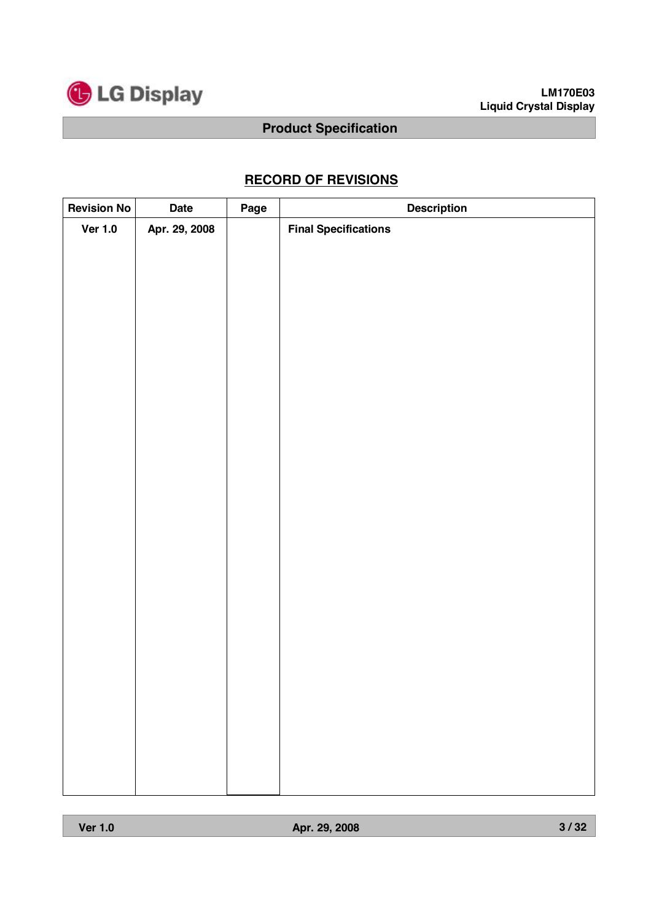

# **RECORD OF REVISIONS**

| <b>Revision No</b> | <b>Date</b>   | Page | <b>Description</b>          |
|--------------------|---------------|------|-----------------------------|
| <b>Ver 1.0</b>     | Apr. 29, 2008 |      | <b>Final Specifications</b> |
|                    |               |      |                             |
|                    |               |      |                             |
|                    |               |      |                             |
|                    |               |      |                             |
|                    |               |      |                             |
|                    |               |      |                             |
|                    |               |      |                             |
|                    |               |      |                             |
|                    |               |      |                             |
|                    |               |      |                             |
|                    |               |      |                             |
|                    |               |      |                             |
|                    |               |      |                             |
|                    |               |      |                             |
|                    |               |      |                             |
|                    |               |      |                             |
|                    |               |      |                             |
|                    |               |      |                             |
|                    |               |      |                             |
|                    |               |      |                             |
|                    |               |      |                             |
|                    |               |      |                             |
|                    |               |      |                             |
|                    |               |      |                             |
|                    |               |      |                             |
|                    |               |      |                             |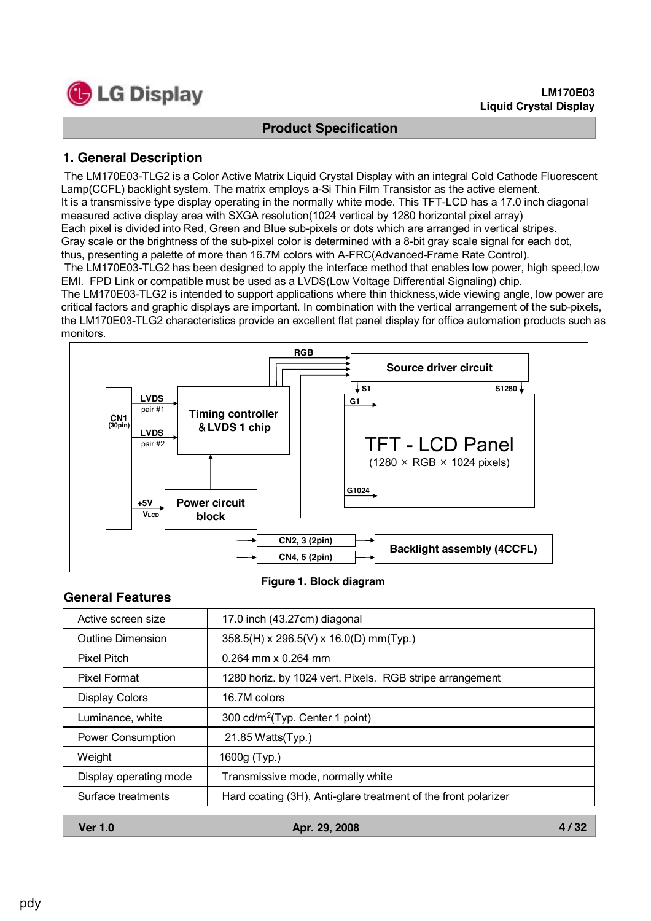

**4 / 32**

### **Product Specification**

# **1. General Description**

The LM170E03-TLG2 is a Color Active Matrix Liquid Crystal Display with an integral Cold Cathode Fluorescent Lamp(CCFL) backlight system. The matrix employs a-Si Thin Film Transistor as the active element. It is a transmissive type display operating in the normally white mode. This TFT-LCD has a 17.0 inch diagonal measured active display area with SXGA resolution(1024 vertical by 1280 horizontal pixel array) Each pixel is divided into Red, Green and Blue sub-pixels or dots which are arranged in vertical stripes. Gray scale or the brightness of the sub-pixel color is determined with a 8-bit gray scale signal for each dot, thus, presenting a palette of more than 16.7M colors with A-FRC(Advanced-Frame Rate Control). The LM170E03-TLG2 has been designed to apply the interface method that enables low power, high speed,low EMI. FPD Link or compatible must be used as a LVDS(Low Voltage Differential Signaling) chip.

The LM170E03-TLG2 is intended to support applications where thin thickness,wide viewing angle, low power are critical factors and graphic displays are important. In combination with the vertical arrangement of the sub-pixels, the LM170E03-TLG2 characteristics provide an excellent flat panel display for office automation products such as monitors.



**Figure 1. Block diagram**

### **General Features**

| Active screen size       | 17.0 inch (43.27cm) diagonal                                   |
|--------------------------|----------------------------------------------------------------|
| <b>Outline Dimension</b> | $358.5(H)$ x 296.5(V) x 16.0(D) mm(Typ.)                       |
| <b>Pixel Pitch</b>       | $0.264$ mm x 0.264 mm                                          |
| Pixel Format             | 1280 horiz. by 1024 vert. Pixels. RGB stripe arrangement       |
| <b>Display Colors</b>    | 16.7M colors                                                   |
| Luminance, white         | 300 cd/m <sup>2</sup> (Typ. Center 1 point)                    |
| <b>Power Consumption</b> | 21.85 Watts(Typ.)                                              |
| Weight                   | 1600g (Typ.)                                                   |
| Display operating mode   | Transmissive mode, normally white                              |
| Surface treatments       | Hard coating (3H), Anti-glare treatment of the front polarizer |
|                          |                                                                |

| <b>Ver 1.0</b><br>Apr. 29, 2008 |
|---------------------------------|
|---------------------------------|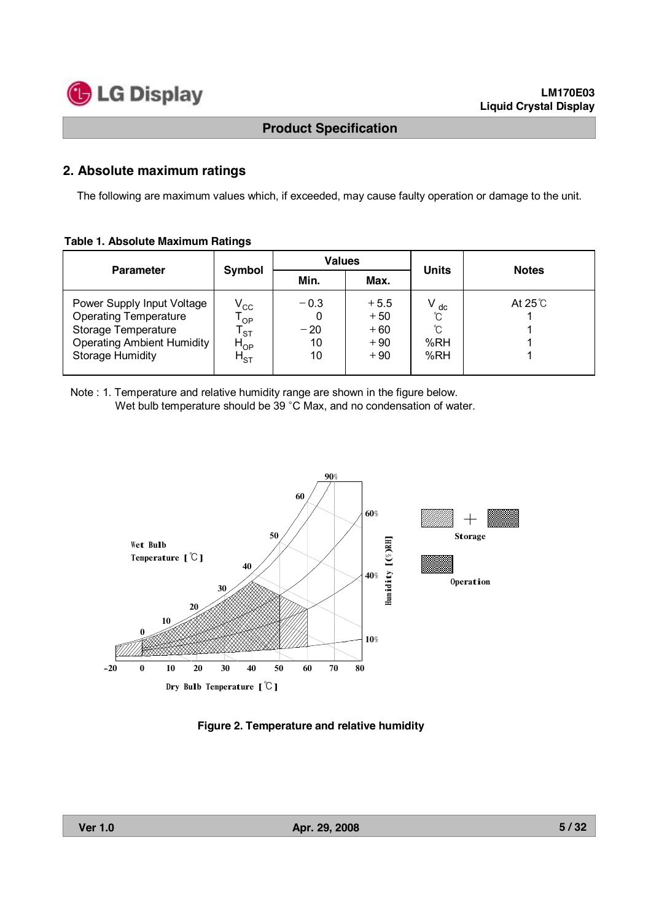

### **2. Absolute maximum ratings**

The following are maximum values which, if exceeded, may cause faulty operation or damage to the unit.

#### **Table 1. Absolute Maximum Ratings**

| <b>Parameter</b>                                                                                                                                  |                                                                  | <b>Values</b>               |                                            |                              | <b>Notes</b>  |  |
|---------------------------------------------------------------------------------------------------------------------------------------------------|------------------------------------------------------------------|-----------------------------|--------------------------------------------|------------------------------|---------------|--|
|                                                                                                                                                   | Symbol                                                           | Min.                        | Max.                                       | <b>Units</b>                 |               |  |
| Power Supply Input Voltage<br><b>Operating Temperature</b><br>Storage Temperature<br><b>Operating Ambient Humidity</b><br><b>Storage Humidity</b> | $V_{\rm CC}$<br>OP<br><b>ST</b><br>$H_{OP}$<br>$H_{\mathsf{ST}}$ | $-0.3$<br>$-20$<br>10<br>10 | $+5.5$<br>$+50$<br>$+60$<br>$+90$<br>$+90$ | dc<br>ົົ<br>ົົ<br>%RH<br>%RH | At $25^\circ$ |  |

Note : 1. Temperature and relative humidity range are shown in the figure below. Wet bulb temperature should be 39 °C Max, and no condensation of water.



**Figure 2. Temperature and relative humidity**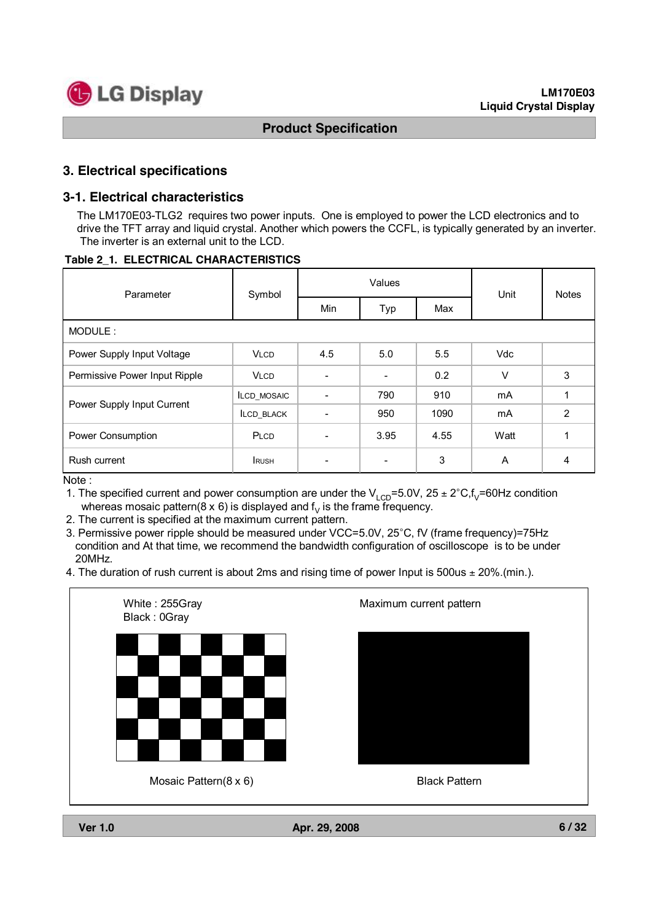

### **3. Electrical specifications**

#### **3-1. Electrical characteristics**

The LM170E03-TLG2 requires two power inputs. One is employed to power the LCD electronics and to drive the TFT array and liquid crystal. Another which powers the CCFL, is typically generated by an inverter. The inverter is an external unit to the LCD.

#### **Table 2\_1. ELECTRICAL CHARACTERISTICS**

| Parameter                     | Symbol             |                          | Values                   | Unit | <b>Notes</b> |                |  |  |
|-------------------------------|--------------------|--------------------------|--------------------------|------|--------------|----------------|--|--|
|                               |                    | Min                      | Typ                      | Max  |              |                |  |  |
| MODULE:                       |                    |                          |                          |      |              |                |  |  |
| Power Supply Input Voltage    | <b>VLCD</b>        | 4.5                      | 5.0                      | 5.5  | <b>Vdc</b>   |                |  |  |
| Permissive Power Input Ripple | <b>VLCD</b>        | $\overline{\phantom{0}}$ | $\overline{\phantom{a}}$ | 0.2  | $\vee$       | 3              |  |  |
|                               | <b>ILCD MOSAIC</b> |                          | 790                      | 910  | mA           |                |  |  |
| Power Supply Input Current    | <b>ILCD BLACK</b>  |                          | 950                      | 1090 | mA           | $\overline{2}$ |  |  |
| Power Consumption             | PLCD               |                          | 3.95                     | 4.55 | Watt         |                |  |  |
| Rush current                  | <b>IRUSH</b>       |                          |                          | 3    | A            | 4              |  |  |

Note :

1. The specified current and power consumption are under the  $V_{\text{LCD}}$ =5.0V, 25 ± 2°C,f<sub>V</sub>=60Hz condition whereas mosaic pattern(8 x 6) is displayed and  $\mathsf{f}_\mathsf{V}$  is the frame frequency.

2. The current is specified at the maximum current pattern.

3. Permissive power ripple should be measured under VCC=5.0V, 25°C, fV (frame frequency)=75Hz condition and At that time, we recommend the bandwidth configuration of oscilloscope is to be under 20MHz.

4. The duration of rush current is about 2ms and rising time of power Input is 500us  $\pm$  20% (min.).

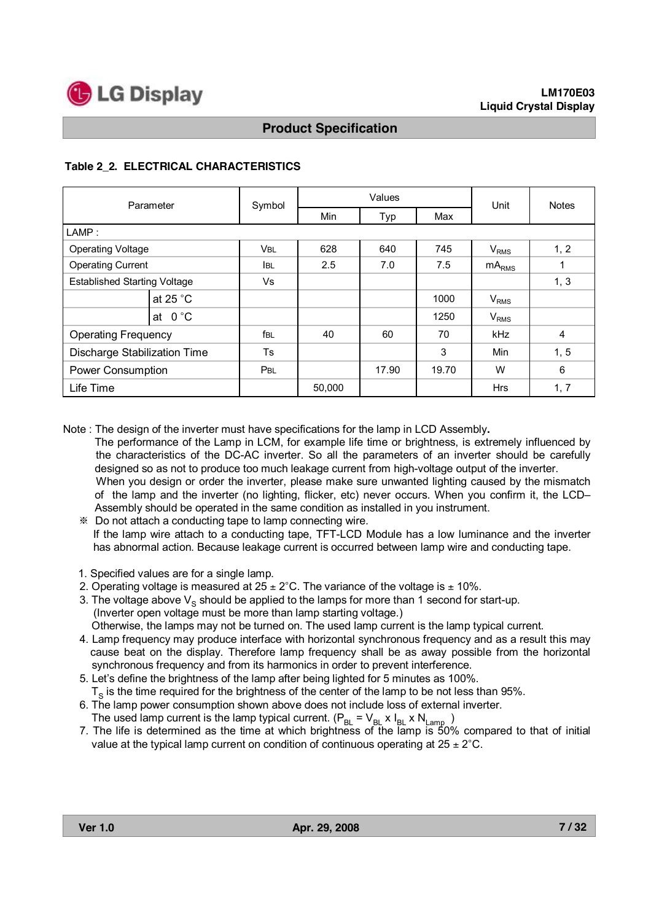

#### **Table 2\_2. ELECTRICAL CHARACTERISTICS**

| Parameter                           |                    | Symbol          |        | Values | Unit  | <b>Notes</b>      |      |
|-------------------------------------|--------------------|-----------------|--------|--------|-------|-------------------|------|
|                                     |                    |                 | Min    | Typ    | Max   |                   |      |
| LAMP:                               |                    |                 |        |        |       |                   |      |
| <b>Operating Voltage</b>            |                    | <b>VBL</b>      | 628    | 640    | 745   | $V_{RMS}$         | 1, 2 |
| <b>Operating Current</b>            |                    | <b>IBL</b>      | 2.5    | 7.0    | 7.5   | mA <sub>RMS</sub> | 1    |
| <b>Established Starting Voltage</b> |                    | Vs              |        |        |       |                   | 1, 3 |
|                                     | at 25 $^{\circ}$ C |                 |        |        | 1000  | $V_{RMS}$         |      |
|                                     | at $0^{\circ}$ C   |                 |        |        | 1250  | $V_{RMS}$         |      |
| <b>Operating Frequency</b>          |                    | f <sub>BL</sub> | 40     | 60     | 70    | kHz               | 4    |
| <b>Discharge Stabilization Time</b> |                    | Ts              |        |        | 3     | Min               | 1, 5 |
| <b>Power Consumption</b>            |                    | PBL             |        | 17.90  | 19.70 | W                 | 6    |
| Life Time                           |                    |                 | 50,000 |        |       | <b>Hrs</b>        | 1, 7 |

Note : The design of the inverter must have specifications for the lamp in LCD Assembly**.**

The performance of the Lamp in LCM, for example life time or brightness, is extremely influenced by the characteristics of the DC-AC inverter. So all the parameters of an inverter should be carefully designed so as not to produce too much leakage current from high-voltage output of the inverter. When you design or order the inverter, please make sure unwanted lighting caused by the mismatch of the lamp and the inverter (no lighting, flicker, etc) never occurs. When you confirm it, the LCD– Assembly should be operated in the same condition as installed in you instrument.

- ※ Do not attach a conducting tape to lamp connecting wire. If the lamp wire attach to a conducting tape, TFT-LCD Module has a low luminance and the inverter has abnormal action. Because leakage current is occurred between lamp wire and conducting tape.
- 1. Specified values are for a single lamp.
- 2. Operating voltage is measured at  $25 \pm 2^{\circ}$ C. The variance of the voltage is  $\pm$  10%.
- 3. The voltage above  $V_s$  should be applied to the lamps for more than 1 second for start-up. (Inverter open voltage must be more than lamp starting voltage.) Otherwise, the lamps may not be turned on. The used lamp current is the lamp typical current.
- 4. Lamp frequency may produce interface with horizontal synchronous frequency and as a result this may cause beat on the display. Therefore lamp frequency shall be as away possible from the horizontal synchronous frequency and from its harmonics in order to prevent interference.
- 5. Let's define the brightness of the lamp after being lighted for 5 minutes as 100%.  $T<sub>S</sub>$  is the time required for the brightness of the center of the lamp to be not less than 95%.
- 6. The lamp power consumption shown above does not include loss of external inverter. The used lamp current is the lamp typical current. ( $P_{BL}$  =  $V_{BL}$  x  $I_{BL}$  x  $N_{Lamp}$  )
- 7. The life is determined as the time at which brightness of the lamp is 50% compared to that of initial value at the typical lamp current on condition of continuous operating at  $25 \pm 2^{\circ}$ C.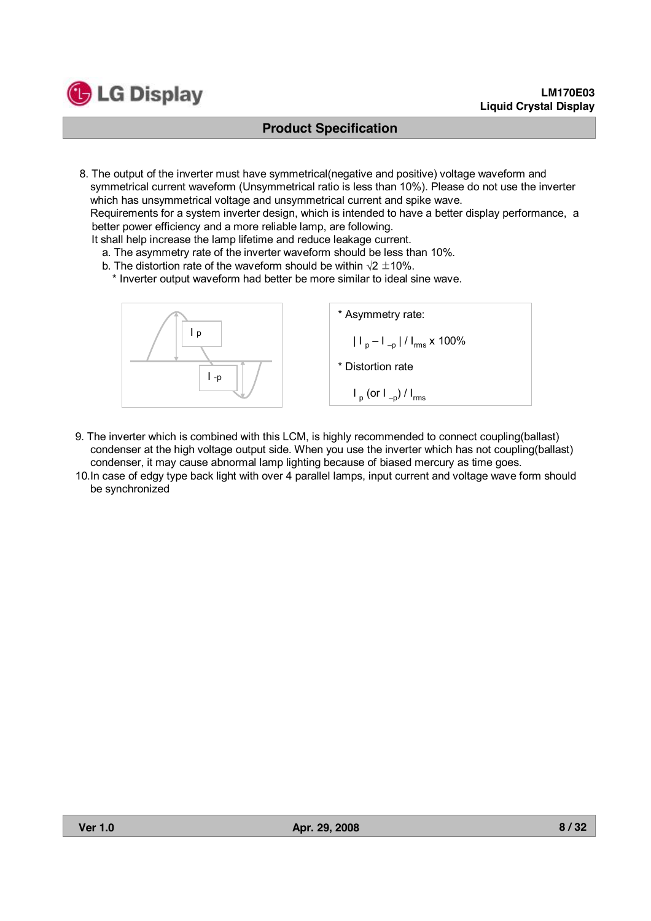

8. The output of the inverter must have symmetrical(negative and positive) voltage waveform and symmetrical current waveform (Unsymmetrical ratio is less than 10%). Please do not use the inverter which has unsymmetrical voltage and unsymmetrical current and spike wave.

Requirements for a system inverter design, which is intended to have a better display performance, a better power efficiency and a more reliable lamp, are following.

It shall help increase the lamp lifetime and reduce leakage current.

- a. The asymmetry rate of the inverter waveform should be less than 10%.
- b. The distortion rate of the waveform should be within  $\sqrt{2} \pm 10\%$ .

\* Inverter output waveform had better be more similar to ideal sine wave.



- 9. The inverter which is combined with this LCM, is highly recommended to connect coupling(ballast) condenser at the high voltage output side. When you use the inverter which has not coupling(ballast) condenser, it may cause abnormal lamp lighting because of biased mercury as time goes.
- 10.In case of edgy type back light with over 4 parallel lamps, input current and voltage wave form should be synchronized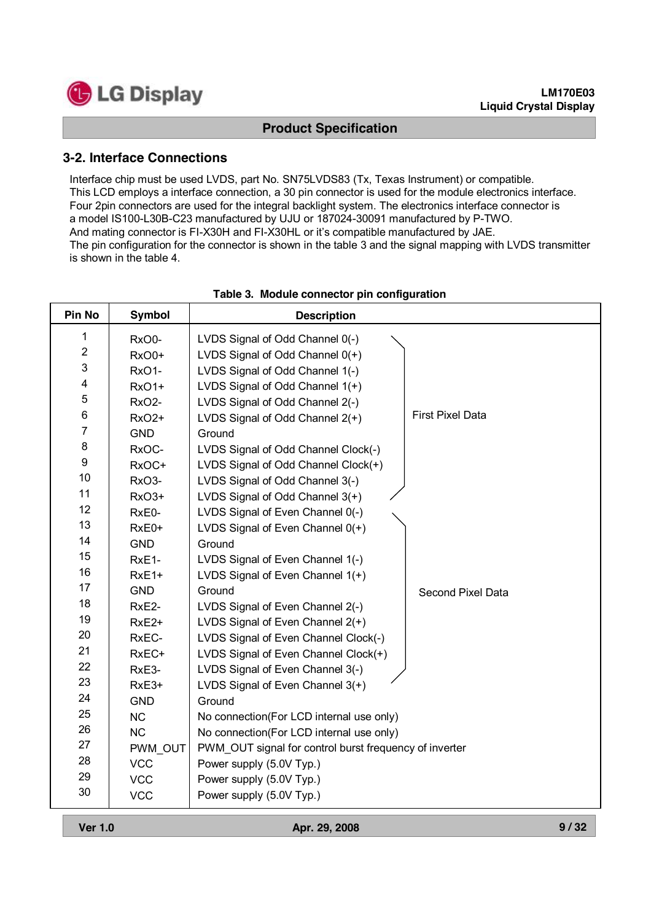

#### **LM170E03 Liquid Crystal Display**

### **Product Specification**

#### **3-2. Interface Connections**

Interface chip must be used LVDS, part No. SN75LVDS83 (Tx, Texas Instrument) or compatible. This LCD employs a interface connection, a 30 pin connector is used for the module electronics interface. Four 2pin connectors are used for the integral backlight system. The electronics interface connector is a model IS100-L30B-C23 manufactured by UJU or 187024-30091 manufactured by P-TWO. And mating connector is FI-X30H and FI-X30HL or it's compatible manufactured by JAE. The pin configuration for the connector is shown in the table 3 and the signal mapping with LVDS transmitter is shown in the table 4.

| <b>Pin No</b>  | <b>Symbol</b>      | <b>Description</b>                                     |                         |
|----------------|--------------------|--------------------------------------------------------|-------------------------|
| 1              | RxO0-              | LVDS Signal of Odd Channel 0(-)                        |                         |
| $\overline{2}$ | RxO0+              | LVDS Signal of Odd Channel $0(+)$                      |                         |
| 3              | RxO1-              | LVDS Signal of Odd Channel 1(-)                        |                         |
| 4              | RxO1+              | LVDS Signal of Odd Channel 1(+)                        |                         |
| 5              | RxO <sub>2</sub> - | LVDS Signal of Odd Channel 2(-)                        |                         |
| 6              | RxO <sub>2+</sub>  | LVDS Signal of Odd Channel 2(+)                        | <b>First Pixel Data</b> |
| $\overline{7}$ | <b>GND</b>         | Ground                                                 |                         |
| 8              | RxOC-              | LVDS Signal of Odd Channel Clock(-)                    |                         |
| 9              | RxOC+              | LVDS Signal of Odd Channel Clock(+)                    |                         |
| 10             | RxO3-              | LVDS Signal of Odd Channel 3(-)                        |                         |
| 11             | RxO3+              | LVDS Signal of Odd Channel 3(+)                        |                         |
| 12             | RxE0-              | LVDS Signal of Even Channel 0(-)                       |                         |
| 13             | RxE0+              | LVDS Signal of Even Channel 0(+)                       |                         |
| 14             | <b>GND</b>         | Ground                                                 |                         |
| 15             | RxE1-              | LVDS Signal of Even Channel 1(-)                       |                         |
| 16             | RxE1+              | LVDS Signal of Even Channel 1(+)                       |                         |
| 17             | <b>GND</b>         | Ground                                                 | Second Pixel Data       |
| 18             | RxE2-              | LVDS Signal of Even Channel 2(-)                       |                         |
| 19             | RxE <sub>2+</sub>  | LVDS Signal of Even Channel 2(+)                       |                         |
| 20             | RxEC-              | LVDS Signal of Even Channel Clock(-)                   |                         |
| 21             | RxEC+              | LVDS Signal of Even Channel Clock(+)                   |                         |
| 22             | RxE3-              | LVDS Signal of Even Channel 3(-)                       |                         |
| 23             | RxE3+              | LVDS Signal of Even Channel 3(+)                       |                         |
| 24             | <b>GND</b>         | Ground                                                 |                         |
| 25             | <b>NC</b>          | No connection(For LCD internal use only)               |                         |
| 26             | <b>NC</b>          | No connection(For LCD internal use only)               |                         |
| 27             | PWM OUT            | PWM_OUT signal for control burst frequency of inverter |                         |
| 28             | <b>VCC</b>         | Power supply (5.0V Typ.)                               |                         |
| 29             | <b>VCC</b>         | Power supply (5.0V Typ.)                               |                         |
| 30             | <b>VCC</b>         | Power supply (5.0V Typ.)                               |                         |

#### **Table 3. Module connector pin configuration**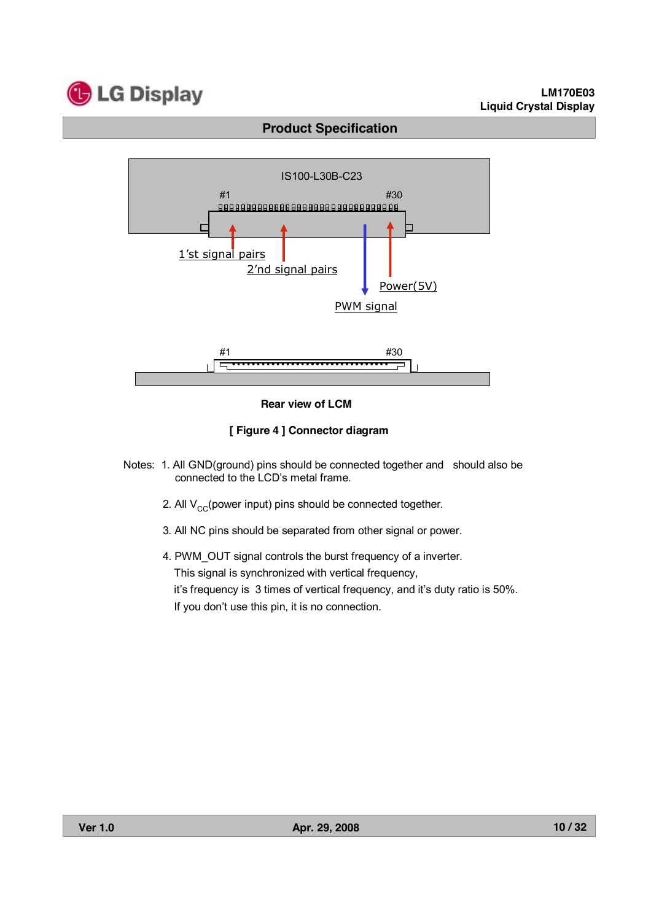

#### **LM170E03 Liquid Crystal Display**

# **Product Specification**



#### **Rear view of LCM**

#### **[ Figure 4 ] Connector diagram**

- Notes: 1. All GND(ground) pins should be connected together and should also be connected to the LCD's metal frame.
	- 2. All  $V_{CC}$ (power input) pins should be connected together.
	- 3. All NC pins should be separated from other signal or power.

4. PWM\_OUT signal controls the burst frequency of a inverter. This signal is synchronized with vertical frequency, it's frequency is 3 times of vertical frequency, and it's duty ratio is 50%. If you don't use this pin, it is no connection.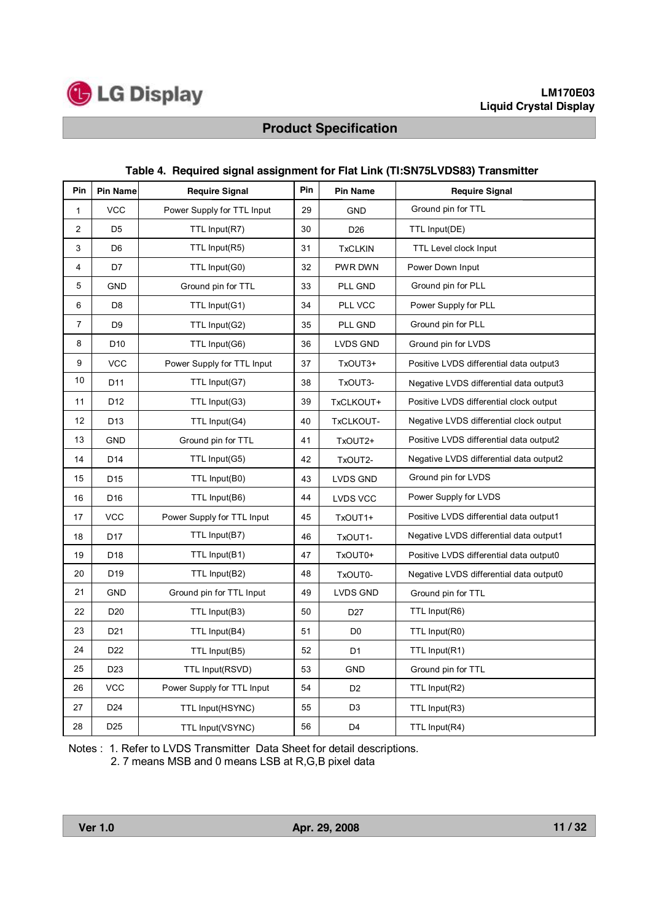

| Pin            | <b>Pin Name</b> | <b>Require Signal</b>      | Pin | <b>Pin Name</b> | <b>Require Signal</b>                   |  |
|----------------|-----------------|----------------------------|-----|-----------------|-----------------------------------------|--|
| 1              | <b>VCC</b>      | Power Supply for TTL Input | 29  | <b>GND</b>      | Ground pin for TTL                      |  |
| 2              | D <sub>5</sub>  | TTL Input(R7)              | 30  | D <sub>26</sub> | TTL Input(DE)                           |  |
| 3              | D6              | TTL Input(R5)              | 31  | <b>TxCLKIN</b>  | <b>TTL Level clock Input</b>            |  |
| $\overline{4}$ | D7              | TTL Input(G0)              | 32  | PWR DWN         | Power Down Input                        |  |
| 5              | <b>GND</b>      | Ground pin for TTL         | 33  | PLL GND         | Ground pin for PLL                      |  |
| 6              | D <sub>8</sub>  | TTL Input(G1)              | 34  | PLL VCC         | Power Supply for PLL                    |  |
| $\overline{7}$ | D <sub>9</sub>  | TTL Input(G2)              | 35  | PLL GND         | Ground pin for PLL                      |  |
| 8              | D <sub>10</sub> | TTL Input(G6)              | 36  | LVDS GND        | Ground pin for LVDS                     |  |
| 9              | <b>VCC</b>      | Power Supply for TTL Input | 37  | TxOUT3+         | Positive LVDS differential data output3 |  |
| 10             | D <sub>11</sub> | TTL Input(G7)              | 38  | TxOUT3-         | Negative LVDS differential data output3 |  |
| 11             | D <sub>12</sub> | TTL Input(G3)              | 39  | TxCLKOUT+       | Positive LVDS differential clock output |  |
| 12             | D <sub>13</sub> | TTL Input(G4)              | 40  | TxCLKOUT-       | Negative LVDS differential clock output |  |
| 13             | <b>GND</b>      | Ground pin for TTL         | 41  | TxOUT2+         | Positive LVDS differential data output2 |  |
| 14             | D <sub>14</sub> | TTL Input(G5)              | 42  | TxOUT2-         | Negative LVDS differential data output2 |  |
| 15             | D <sub>15</sub> | TTL Input(B0)              | 43  | LVDS GND        | Ground pin for LVDS                     |  |
| 16             | D <sub>16</sub> | TTL Input(B6)              | 44  | <b>LVDS VCC</b> | Power Supply for LVDS                   |  |
| 17             | <b>VCC</b>      | Power Supply for TTL Input | 45  | TxOUT1+         | Positive LVDS differential data output1 |  |
| 18             | D <sub>17</sub> | TTL Input(B7)              | 46  | TxOUT1-         | Negative LVDS differential data output1 |  |
| 19             | D <sub>18</sub> | TTL Input(B1)              | 47  | TxOUT0+         | Positive LVDS differential data output0 |  |
| 20             | D <sub>19</sub> | TTL Input(B2)              | 48  | TxOUT0-         | Negative LVDS differential data output0 |  |
| 21             | <b>GND</b>      | Ground pin for TTL Input   | 49  | LVDS GND        | Ground pin for TTL                      |  |
| 22             | D <sub>20</sub> | TTL Input(B3)              | 50  | D <sub>27</sub> | TTL Input(R6)                           |  |
| 23             | D <sub>21</sub> | TTL Input(B4)              | 51  | D <sub>0</sub>  | TTL Input(R0)                           |  |
| 24             | D <sub>22</sub> | TTL Input(B5)              | 52  | D <sub>1</sub>  | TTL Input(R1)                           |  |
| 25             | D <sub>23</sub> | TTL Input(RSVD)            | 53  | <b>GND</b>      | Ground pin for TTL                      |  |
| 26             | <b>VCC</b>      | Power Supply for TTL Input | 54  | D <sub>2</sub>  | TTL Input(R2)                           |  |
| 27             | D <sub>24</sub> | TTL Input(HSYNC)           | 55  | D <sub>3</sub>  | TTL Input(R3)                           |  |
| 28             | D <sub>25</sub> | TTL Input(VSYNC)           | 56  | D <sub>4</sub>  | TTL Input(R4)                           |  |

#### **Table 4. Required signal assignment for Flat Link (TI:SN75LVDS83) Transmitter**

Notes : 1. Refer to LVDS Transmitter Data Sheet for detail descriptions. 2. 7 means MSB and 0 means LSB at R,G,B pixel data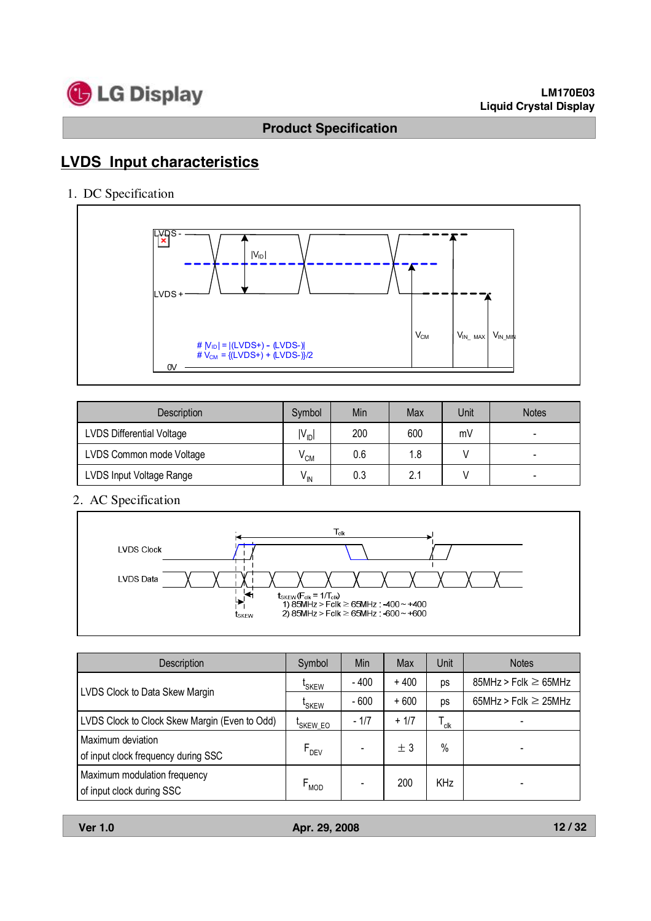

# **LVDS Input characteristics**

1. DC Specification



| <b>Description</b>               | Symbol          | Min | Max | Unit | <b>Notes</b> |
|----------------------------------|-----------------|-----|-----|------|--------------|
| <b>LVDS Differential Voltage</b> | $IV_{ID}$       | 200 | 600 | mV   |              |
| LVDS Common mode Voltage         | $^{\prime}$ CM  | 0.6 | 1.8 |      |              |
| LVDS Input Voltage Range         | $V_{\text{IN}}$ | 0.3 | 2.1 |      | -            |

2. AC Specification



| Description                                               | Symbol               | Min    | Max    | Unit                        | <b>Notes</b>              |
|-----------------------------------------------------------|----------------------|--------|--------|-----------------------------|---------------------------|
|                                                           | <sup>L</sup> SKEW    | $-400$ | $+400$ | ps                          | $85MHz > Fclk \ge 65MHz$  |
| LVDS Clock to Data Skew Margin                            | <sup>L</sup> SKEW    | $-600$ | $+600$ | ps                          | 65MHz > Fclk $\geq$ 25MHz |
| LVDS Clock to Clock Skew Margin (Even to Odd)             | <sup>I</sup> SKEW_EO | $-1/7$ | $+1/7$ | $\mathsf{T}_{\mathsf{clk}}$ |                           |
| Maximum deviation<br>of input clock frequency during SSC  | $F_{DEV}$            |        | ± 3    | $\%$                        |                           |
| Maximum modulation frequency<br>of input clock during SSC | $F_{MOD}$            |        | 200    | <b>KHz</b>                  |                           |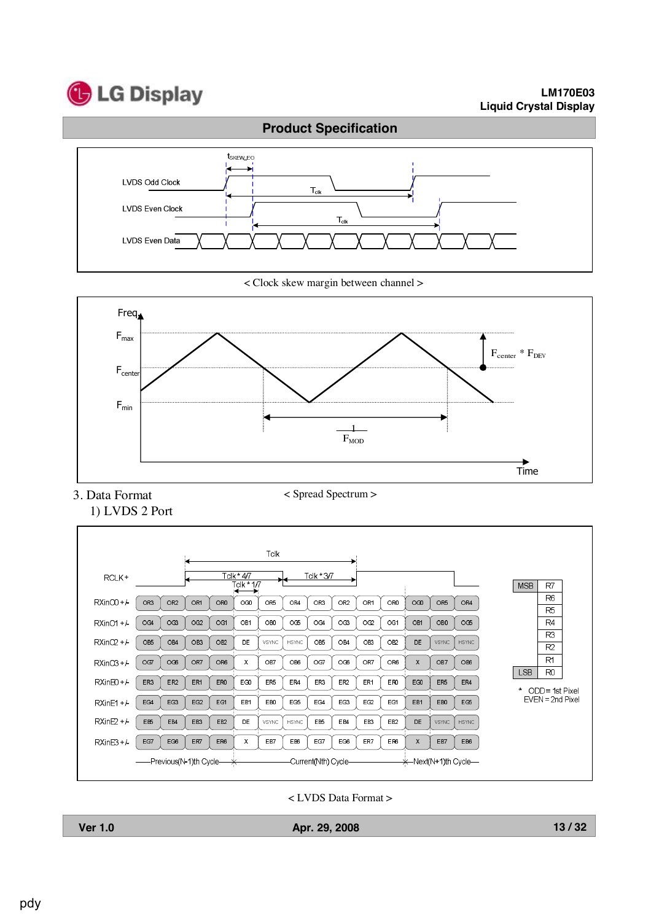

#### **LM170E03 Liquid Crystal Display**



< Clock skew margin between channel >



3. Data Format 1) LVDS 2 Port < Spread Spectrum >



< LVDS Data Format >

| ı<br>ī |
|--------|
|--------|

**Ver 1.0 Apr. 29, 2008**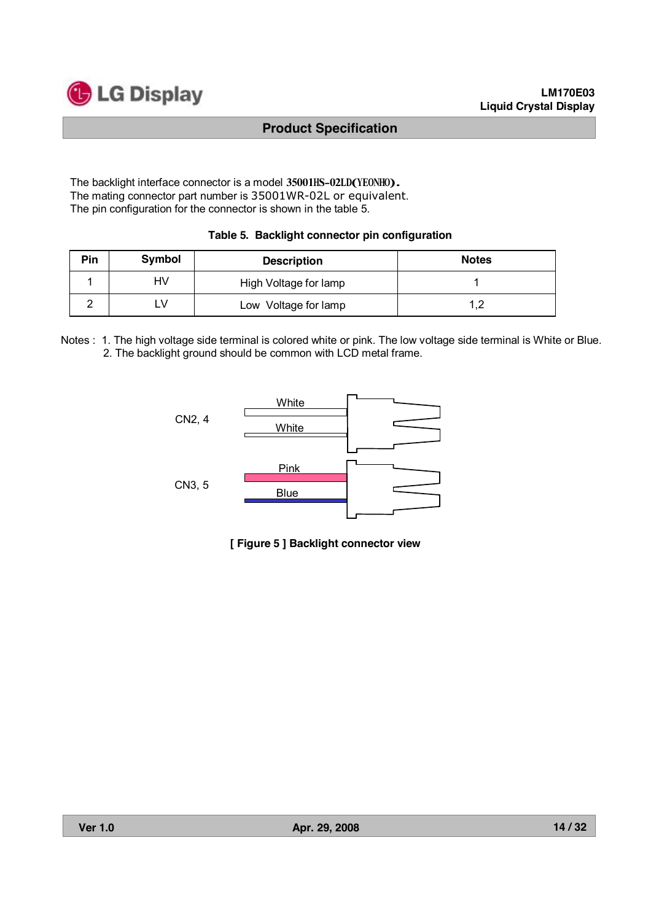

The backlight interface connector is a model 35001HS-02LD(YEONHO). The mating connector part number is 35001WR-02L or equivalent. The pin configuration for the connector is shown in the table 5.

#### **Table 5. Backlight connector pin configuration**

| Pin | Symbol | <b>Description</b>    | <b>Notes</b> |
|-----|--------|-----------------------|--------------|
|     | HV     | High Voltage for lamp |              |
|     | ∟V     | Low Voltage for lamp  |              |

Notes : 1. The high voltage side terminal is colored white or pink. The low voltage side terminal is White or Blue. 2. The backlight ground should be common with LCD metal frame.



**[ Figure 5 ] Backlight connector view**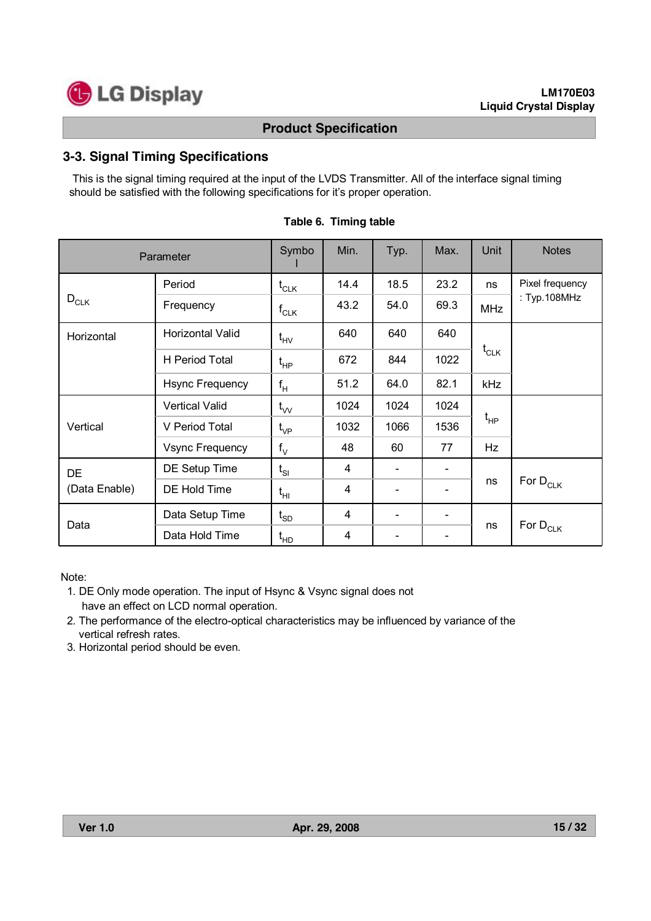

### **3-3. Signal Timing Specifications**

This is the signal timing required at the input of the LVDS Transmitter. All of the interface signal timing should be satisfied with the following specifications for it's proper operation.

| Parameter     | Symbo                  | Min.                                            | Typ. | Max.                     | Unit | <b>Notes</b> |                 |
|---------------|------------------------|-------------------------------------------------|------|--------------------------|------|--------------|-----------------|
|               | Period                 | $\mathfrak{t}_{\scriptscriptstyle{\text{CLK}}}$ | 14.4 | 18.5                     | 23.2 | ns           | Pixel frequency |
| $D_{CLK}$     | Frequency              | $\mathsf{f}_{\mathsf{CLK}}$                     | 43.2 | 54.0                     | 69.3 | <b>MHz</b>   | : Typ.108MHz    |
| Horizontal    | Horizontal Valid       | $\mathfrak{t}_{\rm HV}$                         | 640  | 640                      | 640  |              |                 |
|               | <b>H</b> Period Total  | $\mathfrak{t}_{\sf HP}$                         | 672  | 844                      | 1022 | $t_{CLK}$    |                 |
|               | <b>Hsync Frequency</b> | $f_H$                                           | 51.2 | 64.0                     | 82.1 | kHz          |                 |
|               | <b>Vertical Valid</b>  | $t_{VV}$                                        | 1024 | 1024                     | 1024 |              |                 |
| Vertical      | V Period Total         | $\mathfrak{t}_{\mathsf{VP}}$                    | 1032 | 1066                     | 1536 | $t_{HP}$     |                 |
|               | <b>Vsync Frequency</b> | $f_V$                                           | 48   | 60                       | 77   | Hz           |                 |
| DE            | DE Setup Time          | $t_{SI}$                                        | 4    |                          |      |              |                 |
| (Data Enable) | DE Hold Time           | $t_{\text{HI}}$                                 | 4    |                          |      | ns           | For $D_{CLK}$   |
|               | Data Setup Time        | $\mathfrak{t}_{\text{SD}}$                      | 4    | $\overline{\phantom{a}}$ |      |              |                 |
| Data          | Data Hold Time         | t <sub>HD</sub>                                 | 4    |                          |      | ns           | For $D_{CLK}$   |

#### **Table 6. Timing table**

Note:

- 1. DE Only mode operation. The input of Hsync & Vsync signal does not have an effect on LCD normal operation.
- 2. The performance of the electro-optical characteristics may be influenced by variance of the vertical refresh rates.
- 3. Horizontal period should be even.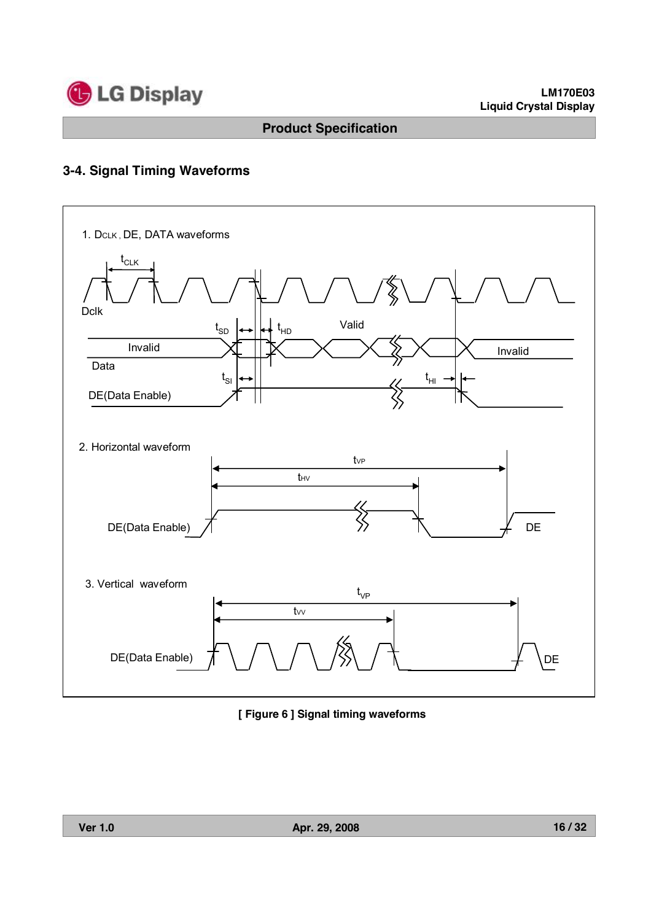

# **3-4. Signal Timing Waveforms**



**[ Figure 6 ] Signal timing waveforms**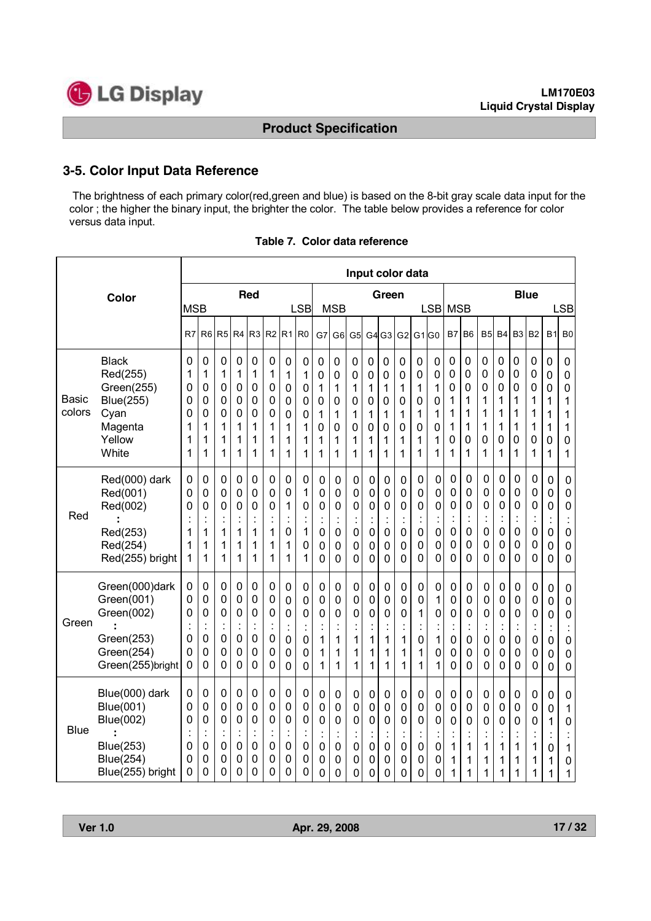

### **3-5. Color Input Data Reference**

The brightness of each primary color(red,green and blue) is based on the 8-bit gray scale data input for the color ; the higher the binary input, the brighter the color. The table below provides a reference for color versus data input.

|                        |                                                                                                             |                                      |                                                                                   |                                                                    |                                                      |                                                                        |                                                        |                                                        |                                                                    |                                      |                                                                | Input color data                                       |                                                          |                                                              |                                                |                                                          |                                              |                                                                    |                                                                 |                                                                                      |                                                      |                                                                                  |                                                                                        |                                                          |                                                                                  |
|------------------------|-------------------------------------------------------------------------------------------------------------|--------------------------------------|-----------------------------------------------------------------------------------|--------------------------------------------------------------------|------------------------------------------------------|------------------------------------------------------------------------|--------------------------------------------------------|--------------------------------------------------------|--------------------------------------------------------------------|--------------------------------------|----------------------------------------------------------------|--------------------------------------------------------|----------------------------------------------------------|--------------------------------------------------------------|------------------------------------------------|----------------------------------------------------------|----------------------------------------------|--------------------------------------------------------------------|-----------------------------------------------------------------|--------------------------------------------------------------------------------------|------------------------------------------------------|----------------------------------------------------------------------------------|----------------------------------------------------------------------------------------|----------------------------------------------------------|----------------------------------------------------------------------------------|
|                        | Color                                                                                                       | <b>MSB</b>                           |                                                                                   |                                                                    |                                                      | <b>Red</b>                                                             |                                                        |                                                        | <b>LSB</b>                                                         |                                      | <b>MSB</b>                                                     |                                                        |                                                          | Green                                                        |                                                |                                                          | <b>LSB</b>                                   | <b>MSB</b>                                                         |                                                                 |                                                                                      |                                                      |                                                                                  | <b>Blue</b>                                                                            |                                                          | <b>LSB</b>                                                                       |
|                        |                                                                                                             | R7                                   | R <sub>6</sub>                                                                    | R <sub>5</sub>                                                     | R <sub>4</sub>                                       | R <sub>3</sub>                                                         | R <sub>2</sub>                                         | R <sub>1</sub>                                         | R <sub>0</sub>                                                     | G7                                   | G <sub>6</sub>                                                 | G <sub>5</sub>                                         | G4                                                       | G <sub>3</sub>                                               | G2                                             | G1 G0                                                    |                                              | B7                                                                 | B <sub>6</sub>                                                  | B <sub>5</sub>                                                                       | <b>B4</b>                                            | B <sub>3</sub>                                                                   | <b>B2</b>                                                                              | <b>B1</b>                                                | B <sub>0</sub>                                                                   |
| <b>Basic</b><br>colors | <b>Black</b><br>Red(255)<br>Green(255)<br><b>Blue(255)</b><br>Cyan<br>Magenta<br>Yellow<br>White            | 0<br>1<br>0<br>0<br>0<br>1<br>1<br>1 | 0<br>1<br>0<br>0<br>0<br>1<br>1<br>1                                              | $\mathbf 0$<br>1<br>$\mathbf 0$<br>$\mathbf 0$<br>0<br>1<br>1<br>1 | 0<br>1<br>0<br>0<br>0<br>1<br>1<br>1                 | 0<br>1<br>0<br>0<br>0<br>1<br>1<br>1                                   | 0<br>1<br>0<br>0<br>0<br>1<br>1<br>1                   | 0<br>1<br>0<br>0<br>0<br>1<br>1<br>1                   | 0<br>1<br>0<br>$\overline{0}$<br>$\mathbf 0$<br>1<br>1<br>1        | 0<br>0<br>1<br>0<br>1<br>0<br>1<br>1 | 0<br>0<br>1<br>0<br>1<br>0<br>1<br>1                           | 0<br>0<br>1<br>$\mathbf 0$<br>1<br>0<br>1<br>1         | 0<br>0<br>1<br>$\mathbf 0$<br>1<br>$\mathbf 0$<br>1<br>1 | 0<br>0<br>1<br>0<br>1<br>0<br>1<br>1                         | 0<br>0<br>1<br>$\mathbf 0$<br>1<br>0<br>1<br>1 | $\mathbf 0$<br>0<br>1<br>$\mathbf 0$<br>1<br>0<br>1<br>1 | 0<br>0<br>1<br>$\pmb{0}$<br>1<br>0<br>1<br>1 | $\mathbf 0$<br>$\mathbf 0$<br>$\mathbf 0$<br>1<br>1<br>1<br>0<br>1 | 0<br>0<br>0<br>1<br>1<br>1<br>0<br>1                            | 0<br>0<br>0<br>1<br>1<br>1<br>0<br>1                                                 | 0<br>0<br>0<br>1<br>1<br>1<br>0<br>1                 | 0<br>0<br>0<br>1<br>1<br>1<br>0<br>1                                             | 0<br>0<br>0<br>1<br>1<br>1<br>0<br>1                                                   | 0<br>0<br>0<br>1<br>1<br>1<br>0<br>1                     | 0<br>0<br>0<br>1<br>1<br>1<br>0<br>1                                             |
| Red                    | Red(000) dark<br>Red(001)<br>Red(002)<br>Red(253)<br>Red(254)<br>Red(255) bright                            | 0<br>0<br>0<br>1<br>1<br>1           | 0<br>0<br>0<br>$\ddot{\cdot}$<br>1<br>1<br>1                                      | 0<br>0<br>0<br>1<br>1<br>1                                         | 0<br>0<br>0<br>$\ddot{\cdot}$<br>1<br>1<br>1         | 0<br>0<br>0<br>$\ddot{\cdot}$<br>1<br>1<br>1                           | 0<br>0<br>0<br>İ<br>1<br>1<br>1                        | 0<br>0<br>1<br>0<br>1<br>1                             | 0<br>1<br>0<br>$\ddot{\cdot}$<br>1<br>0<br>1                       | 0<br>0<br>0<br>0<br>0<br>$\Omega$    | 0<br>0<br>0<br>$\ddot{\cdot}$<br>0<br>0<br>0                   | 0<br>0<br>0<br>İ<br>0<br>0<br>0                        | 0<br>0<br>0<br>0<br>0<br>0                               | 0<br>0<br>0<br>$\ddot{\cdot}$<br>0<br>0<br>0                 | 0<br>0<br>0<br>í,<br>$\mathbf 0$<br>0<br>0     | 0<br>0<br>0<br>0<br>0<br>0                               | 0<br>0<br>0<br>0<br>0<br>0                   | 0<br>0<br>$\mathbf 0$<br>÷,<br>$\mathbf 0$<br>0<br>0               | 0<br>0<br>0<br>$\ddot{\cdot}$<br>0<br>0<br>0                    | 0<br>0<br>$\mathbf 0$<br>$\ddot{\cdot}$<br>$\mathbf 0$<br>$\mathbf 0$<br>$\mathbf 0$ | 0<br>0<br>0<br>i.<br>0<br>0<br>0                     | 0<br>0<br>0<br>$\ddot{\cdot}$<br>0<br>0<br>0                                     | 0<br>0<br>0<br>÷,<br>0<br>0<br>0                                                       | 0<br>0<br>0<br>0<br>0<br>0                               | 0<br>0<br>0<br>0<br>0<br>0                                                       |
| Green                  | Green(000)dark<br>Green(001)<br>Green(002)<br>Green(253)<br>Green(254)<br>Green(255)bright                  | 0<br>0<br>0<br>0<br>0<br>0           | 0<br>0<br>0<br>$\ddot{\cdot}$<br>0<br>0<br>0                                      | 0<br>0<br>0<br>$\mathbf 0$<br>$\mathbf 0$<br>$\mathbf 0$           | 0<br>0<br>0<br>$\ddot{\cdot}$<br>0<br>0<br>0         | 0<br>0<br>0<br>$\ddot{\phantom{a}}$<br>$\mathbf 0$<br>$\mathbf 0$<br>0 | 0<br>0<br>0<br>$\blacksquare$<br>0<br>0<br>$\mathbf 0$ | 0<br>0<br>0<br>$\ddot{\cdot}$<br>0<br>0<br>0           | 0<br>0<br>0<br>0<br>0<br>0                                         | 0<br>0<br>0<br>ä,<br>1<br>1<br>1     | $\pmb{0}$<br>0<br>$\mathbf 0$<br>$\ddot{\cdot}$<br>1<br>1<br>1 | 0<br>0<br>0<br>$\blacksquare$<br>1<br>1<br>1           | 0<br>0<br>0<br>$\ddot{\cdot}$<br>1<br>1<br>1             | 0<br>0<br>0<br>$\ddot{\cdot}$<br>1<br>1<br>1                 | 0<br>$\mathbf 0$<br>0<br>٠<br>1<br>1<br>1      | 0<br>0<br>1<br>$\ddot{\cdot}$<br>0<br>1<br>1             | 0<br>1<br>0<br>٠<br>1<br>0<br>1              | 0<br>0<br>0<br>$\blacksquare$<br>0<br>0<br>0                       | 0<br>0<br>0<br>$\ddot{\phantom{a}}$<br>0<br>0<br>$\overline{0}$ | 0<br>0<br>0<br>$\ddot{\cdot}$<br>0<br>0<br>0                                         | 0<br>0<br>0<br>×,<br>0<br>0<br>0                     | 0<br>0<br>$\mathbf 0$<br>$\blacksquare$<br>$\overline{0}$<br>0<br>$\overline{0}$ | $\mathbf 0$<br>$\mathbf 0$<br>$\mathbf 0$<br>$\mathbf 0$<br>$\mathbf 0$<br>$\mathbf 0$ | $\mathbf 0$<br>$\mathbf 0$<br>0<br>$\mathbf 0$<br>0<br>0 | $\mathbf 0$<br>$\pmb{0}$<br>0<br>Ì,<br>$\mathbf 0$<br>$\mathbf 0$<br>$\mathbf 0$ |
| <b>Blue</b>            | Blue(000) dark<br>Blue(001)<br><b>Blue(002)</b><br><b>Blue(253)</b><br><b>Blue(254)</b><br>Blue(255) bright | 0<br>0<br>0<br>0<br>0<br>0           | $\mathbf 0$<br>0<br>0<br>$\cdot$<br>$\ddot{\phantom{a}}$<br>$\mathbf 0$<br>0<br>0 | 0<br>$\mathbf 0$<br>0<br>$\mathbf 0$<br>0<br>0                     | 0<br>0<br>0<br>$\ddot{\cdot}$<br>$\pmb{0}$<br>0<br>0 | $\mathbf 0$<br>0<br>0<br>$\epsilon$<br>$\mathbf 0$<br>0<br>0           | 0<br>0<br>0<br>ł.<br>$\pmb{0}$<br>0<br>0               | 0<br>0<br>0<br>$\ddot{\cdot}$<br>$\mathbf 0$<br>0<br>0 | 0<br>$\pmb{0}$<br>0<br>$\blacksquare$<br>ä,<br>$\pmb{0}$<br>0<br>0 | $\mathbf 0$<br>0<br>0<br>0<br>0<br>0 | $\pmb{0}$<br>0<br>0<br>$\cdot$<br>÷<br>0<br>0<br>0             | 0<br>$\mathbf 0$<br>0<br>$\blacksquare$<br>0<br>0<br>0 | 0<br>0<br>0<br>$\blacksquare$<br>0<br>0<br>0             | $\pmb{0}$<br>0<br>0<br>$\ddot{\cdot}$<br>$\pmb{0}$<br>0<br>0 | 0<br>$\mathbf 0$<br>0<br>٠<br>0<br>0<br>0      | 0<br>0<br>0<br>$\ddot{\cdot}$<br>0<br>0<br>0             | 0<br>$\mathbf 0$<br>0<br>0<br>0<br>0         | 0<br>$\mathbf 0$<br>0<br>ł,<br>1<br>1<br>1                         | 0<br>0<br>0<br>$\ddot{\cdot}$<br>1<br>1<br>1                    | $\mathbf 0$<br>$\mathbf 0$<br>0<br>$\overline{\phantom{a}}$<br>÷,<br>1<br>1<br>1     | $\mathbf 0$<br>$\mathbf 0$<br>0<br>i.<br>1<br>1<br>1 | 0<br>0<br>0<br>$\ddot{\phantom{0}}$<br>$\blacksquare$<br>1<br>1<br>1             | 0<br>0<br>0<br>ł,<br>1<br>1<br>1                                                       | 0<br>$\mathbf 0$<br>1<br>$\bullet$<br>0<br>1<br>1        | $\mathbf 0$<br>1<br>$\mathbf 0$<br>٠<br>1<br>0<br>1                              |

|  |  |  | Table 7. Color data reference |
|--|--|--|-------------------------------|
|--|--|--|-------------------------------|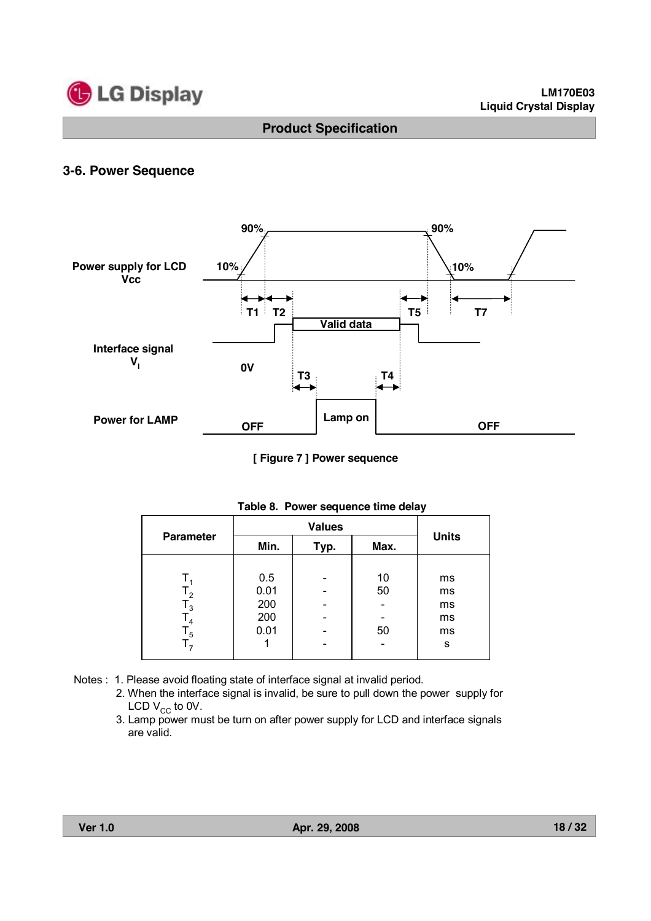

# **3-6. Power Sequence**



**[ Figure 7 ] Power sequence**

| <b>Parameter</b> | Min. | Typ. | Max. | <b>Units</b> |
|------------------|------|------|------|--------------|
|                  |      |      |      |              |
|                  | 0.5  |      | 10   | ms           |
| $\mathsf{I}_2$   | 0.01 |      | 50   | ms           |
| ي ا              | 200  |      |      | ms           |
| $T_{4}$          | 200  |      |      | ms           |
| $T_{5}$          | 0.01 | -    | 50   | ms           |
|                  |      |      |      | S            |

|  | Table 8. Power sequence time delay |  |
|--|------------------------------------|--|
|  |                                    |  |

- Notes : 1. Please avoid floating state of interface signal at invalid period.
	- 2. When the interface signal is invalid, be sure to pull down the power supply for LCD  $V_{CC}$  to 0V.
	- 3. Lamp power must be turn on after power supply for LCD and interface signals are valid.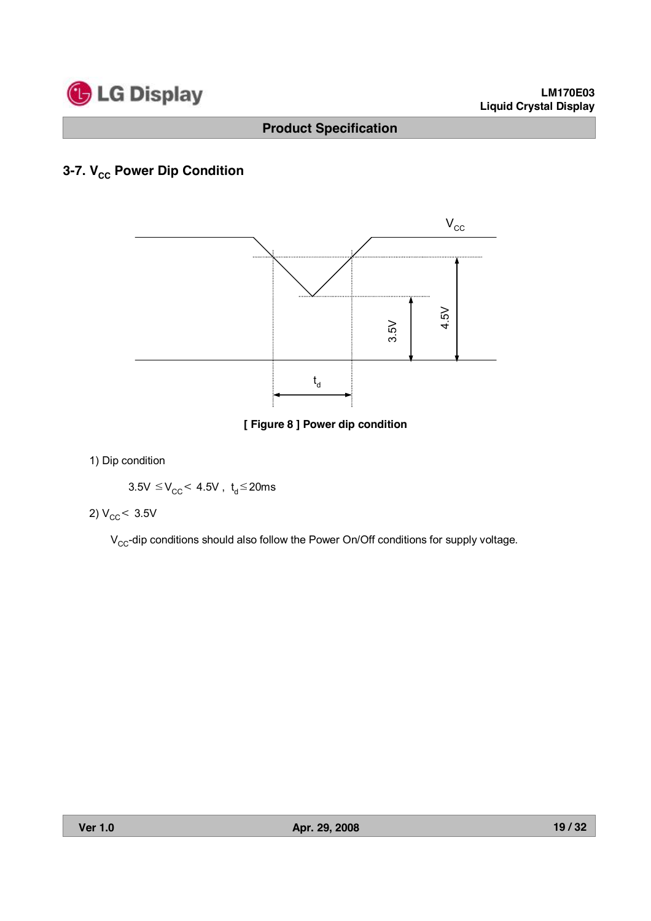

# **3-7. V<sub>cc</sub> Power Dip Condition**



**[ Figure 8 ] Power dip condition**

1) Dip condition

$$
3.5V \leq V_{CC} < 4.5V \ , \ t_d \leq 20ms
$$

$$
2) V_{\rm CC} < 3.5 V
$$

 $V_{CC}$ -dip conditions should also follow the Power On/Off conditions for supply voltage.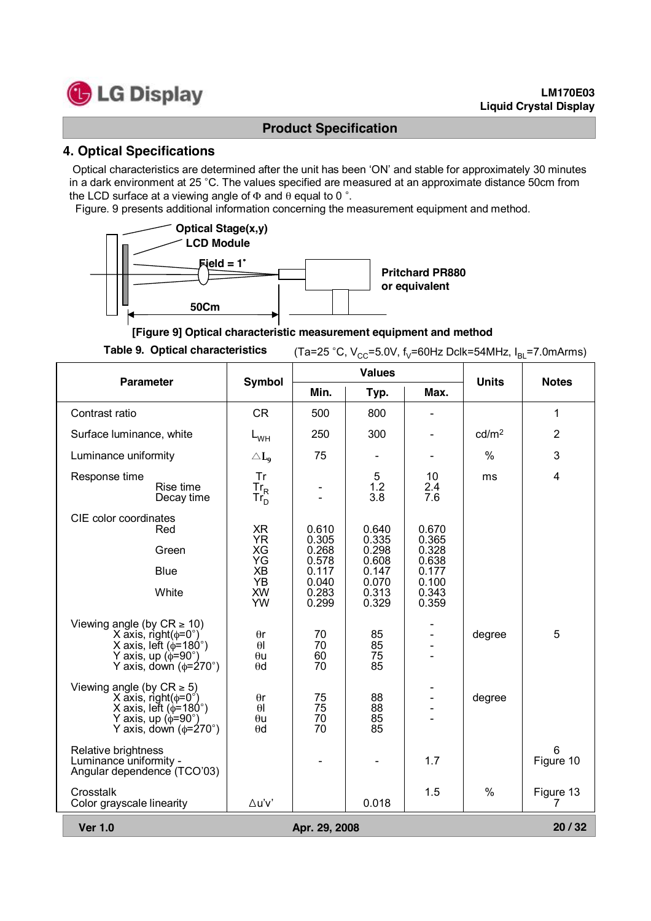

#### **4. Optical Specifications**

Optical characteristics are determined after the unit has been 'ON' and stable for approximately 30 minutes in a dark environment at 25 °C. The values specified are measured at an approximate distance 50cm from the LCD surface at a viewing angle of  $\Phi$  and  $\theta$  equal to 0 °.

Figure. 9 presents additional information concerning the measurement equipment and method.



**[Figure 9] Optical characteristic measurement equipment and method**

**Table 9. Optical characteristics** (Ta=25 °C,  $V_{CC}$ =5.0V,  $f_v$ =60Hz Dclk=54MHz,  $I_{BI}$ =7.0mArms)

|                                                                                                                                                                                     | <b>Values</b><br><b>Parameter</b><br><b>Symbol</b>                              |                                                                      |                                                                      |                                                                      |                   | <b>Notes</b>   |  |  |  |
|-------------------------------------------------------------------------------------------------------------------------------------------------------------------------------------|---------------------------------------------------------------------------------|----------------------------------------------------------------------|----------------------------------------------------------------------|----------------------------------------------------------------------|-------------------|----------------|--|--|--|
|                                                                                                                                                                                     |                                                                                 | Min.                                                                 | Typ.                                                                 | Max.                                                                 | <b>Units</b>      |                |  |  |  |
| Contrast ratio                                                                                                                                                                      | <b>CR</b>                                                                       | 500                                                                  | 800                                                                  |                                                                      |                   | 1              |  |  |  |
| Surface luminance, white                                                                                                                                                            | $L_{WH}$                                                                        | 250                                                                  | 300                                                                  |                                                                      | cd/m <sup>2</sup> | $\overline{2}$ |  |  |  |
| Luminance uniformity                                                                                                                                                                | $\triangle L_0$                                                                 | 75                                                                   |                                                                      |                                                                      | $\frac{0}{0}$     | 3              |  |  |  |
| Response time<br>Rise time<br>Decay time                                                                                                                                            | Tr<br>$Tr_R$<br>Tr <sub>D</sub>                                                 |                                                                      | 5<br>1.2<br>3.8                                                      | 10<br>2.4<br>7.6                                                     | ms                | 4              |  |  |  |
| CIE color coordinates<br>Red<br>Green<br><b>Blue</b><br>White                                                                                                                       | <b>XR</b><br><b>YR</b><br>XG<br>ΥG<br><b>XB</b><br><b>YB</b><br><b>XW</b><br>YW | 0.610<br>0.305<br>0.268<br>0.578<br>0.117<br>0.040<br>0.283<br>0.299 | 0.640<br>0.335<br>0.298<br>0.608<br>0.147<br>0.070<br>0.313<br>0.329 | 0.670<br>0.365<br>0.328<br>0.638<br>0.177<br>0.100<br>0.343<br>0.359 |                   |                |  |  |  |
| Viewing angle (by $CR \ge 10$ )<br>X axis, right( $\phi$ =0°)<br>X axis, left ( $\phi$ =180°)<br>Y axis, up ( $\phi$ =90°)<br>Y axis, down $(\phi = 270^\circ)$                     | $\theta$ r<br>$\theta$<br>$\theta$ u<br>$\theta$ d                              | 70<br>70<br>60<br>70                                                 | 85<br>85<br>75<br>85                                                 |                                                                      | degree            | 5              |  |  |  |
| Viewing angle (by $CR \ge 5$ )<br>$X$ axis, right( $\phi = 0^{\circ}$ )<br>X axis, left $(\phi = 180^\circ)$<br>Y axis, up $(\phi = 90^\circ)$<br>Y axis, down $(\phi = 270^\circ)$ | $\theta$ r<br>$\theta$<br>$\theta$ u<br>$\theta$ d                              | 75<br>75<br>70<br>70                                                 | 88<br>88<br>85<br>85                                                 |                                                                      | degree            |                |  |  |  |
| Relative brightness<br>Luminance uniformity -<br>Angular dependence (TCO'03)                                                                                                        |                                                                                 |                                                                      |                                                                      | 1.7                                                                  |                   | 6<br>Figure 10 |  |  |  |
| Crosstalk<br>Color grayscale linearity                                                                                                                                              | ∆u'v'                                                                           |                                                                      | 0.018                                                                | 1.5                                                                  | $\frac{0}{0}$     | Figure 13<br>7 |  |  |  |
| <b>Ver 1.0</b>                                                                                                                                                                      | 20/32<br>Apr. 29, 2008                                                          |                                                                      |                                                                      |                                                                      |                   |                |  |  |  |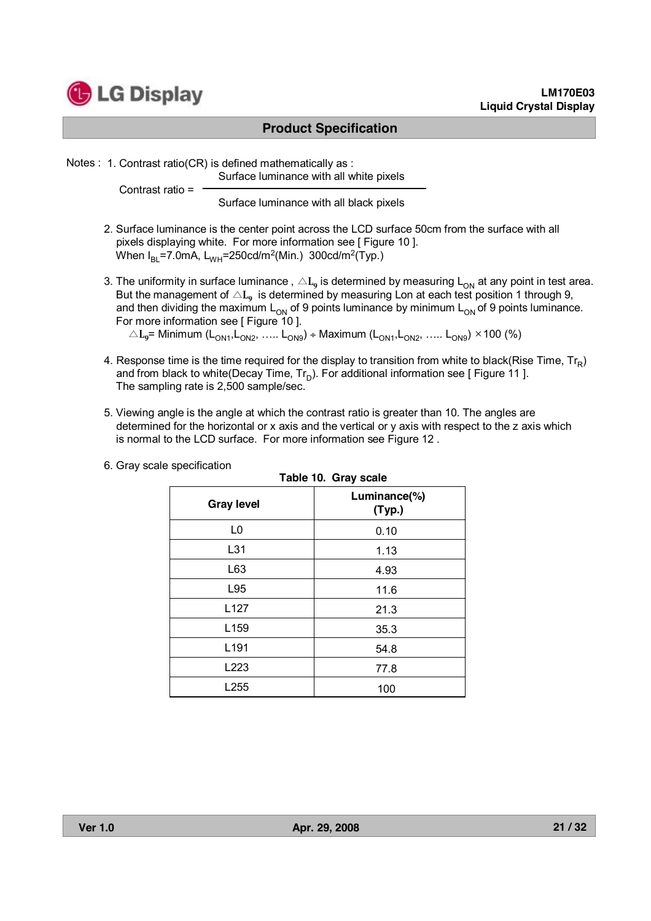

#### **LM170E03 Liquid Crystal Display**

### **Product Specification**

Notes : 1. Contrast ratio(CR) is defined mathematically as :

Surface luminance with all white pixels

Contrast ratio =

Surface luminance with all black pixels

- 2. Surface luminance is the center point across the LCD surface 50cm from the surface with all pixels displaying white. For more information see [ Figure 10 ]. When  $I_{BL}$ =7.0mA,  $L_{WH}$ =250cd/m<sup>2</sup>(Min.) 300cd/m<sup>2</sup>(Typ.)
- 3. The uniformity in surface luminance,  $\triangle\text{L}_9$  is determined by measuring  $\text{L}_{\text{ON}}$  at any point in test area. But the management of  $\triangle L_{9}$  is determined by measuring Lon at each test position 1 through 9, and then dividing the maximum  $L_{ON}$  of 9 points luminance by minimum  $L_{ON}$  of 9 points luminance. For more information see [ Figure 10 ].  $\triangle L_9$ = Minimum (L<sub>ON1</sub>, L<sub>ON2</sub>, ….. L<sub>ON9</sub>) ÷ Maximum (L<sub>ON1</sub>, L<sub>ON2</sub>, ….. L<sub>ON9</sub>) × 100 (%)
- 4. Response time is the time required for the display to transition from white to black(Rise Time,  $Tr_R$ ) and from black to white(Decay Time,  $Tr_D$ ). For additional information see [ Figure 11 ]. The sampling rate is 2,500 sample/sec.
- 5. Viewing angle is the angle at which the contrast ratio is greater than 10. The angles are determined for the horizontal or x axis and the vertical or y axis with respect to the z axis which is normal to the LCD surface. For more information see Figure 12 .

**Table 10. Gray scale**

| rable to. Gray scale |                        |  |  |  |  |  |  |
|----------------------|------------------------|--|--|--|--|--|--|
| <b>Gray level</b>    | Luminance(%)<br>(Typ.) |  |  |  |  |  |  |
| L <sub>0</sub>       | 0.10                   |  |  |  |  |  |  |
| L31                  | 1.13                   |  |  |  |  |  |  |
| L63                  | 4.93                   |  |  |  |  |  |  |
| L95                  | 11.6                   |  |  |  |  |  |  |
| L <sub>127</sub>     | 21.3                   |  |  |  |  |  |  |
| L <sub>159</sub>     | 35.3                   |  |  |  |  |  |  |
| L <sub>191</sub>     | 54.8                   |  |  |  |  |  |  |
| L223                 | 77.8                   |  |  |  |  |  |  |
| L255                 | 100                    |  |  |  |  |  |  |

6. Gray scale specification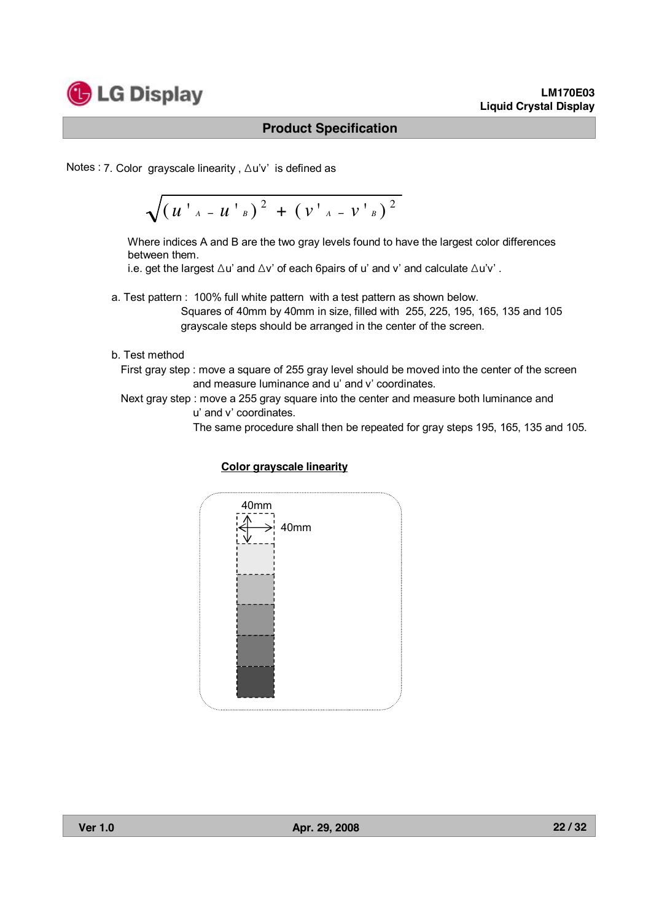

Notes : 7. Color grayscale linearity, ∆u'v' is defined as

$$
\sqrt{\left(u^{+}{}_{A}-u^{+}{}_{B}\right)^{2}+\left(v^{+}{}_{A}-v^{+}{}_{B}\right)^{2}}
$$

Where indices A and B are the two gray levels found to have the largest color differences between them.

i.e. get the largest  $\Delta u$ ' and  $\Delta v$ ' of each 6pairs of u' and v' and calculate  $\Delta u'v'$  .

a. Test pattern : 100% full white pattern with a test pattern as shown below. Squares of 40mm by 40mm in size, filled with 255, 225, 195, 165, 135 and 105 grayscale steps should be arranged in the center of the screen.

#### b. Test method

First gray step : move a square of 255 gray level should be moved into the center of the screen and measure luminance and u' and v' coordinates.

Next gray step : move a 255 gray square into the center and measure both luminance and

u' and v' coordinates.

The same procedure shall then be repeated for gray steps 195, 165, 135 and 105.

#### **Color grayscale linearity**

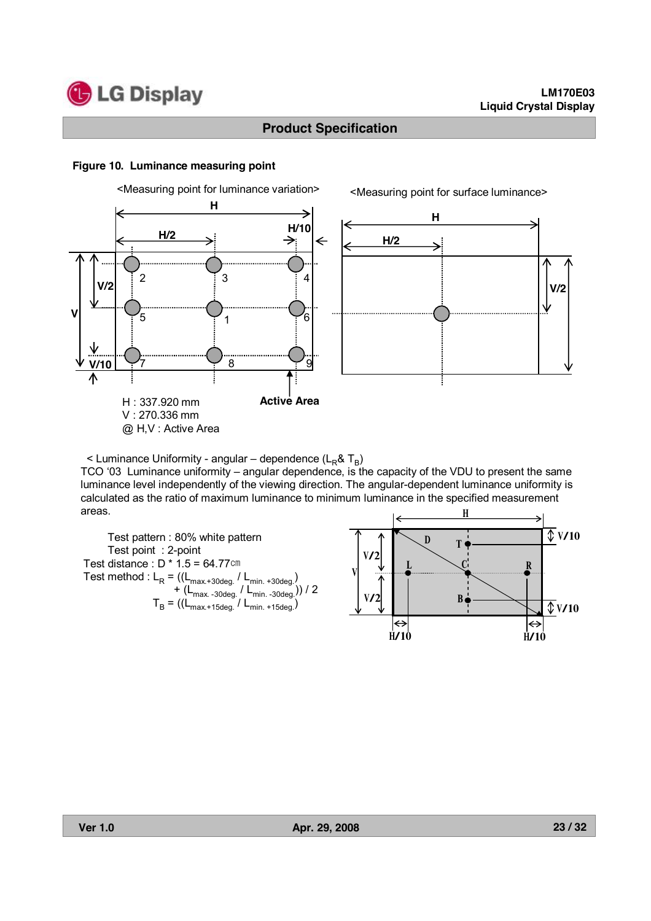

#### **Figure 10. Luminance measuring point**



**H H/2** ⋟ **V/2**

<Measuring point for surface luminance>

 $\leq$  Luminance Uniformity - angular – dependence (L<sub>R</sub>& T<sub>B</sub>)

TCO '03 Luminance uniformity – angular dependence, is the capacity of the VDU to present the same luminance level independently of the viewing direction. The angular-dependent luminance uniformity is calculated as the ratio of maximum luminance to minimum luminance in the specified measurement areas. H

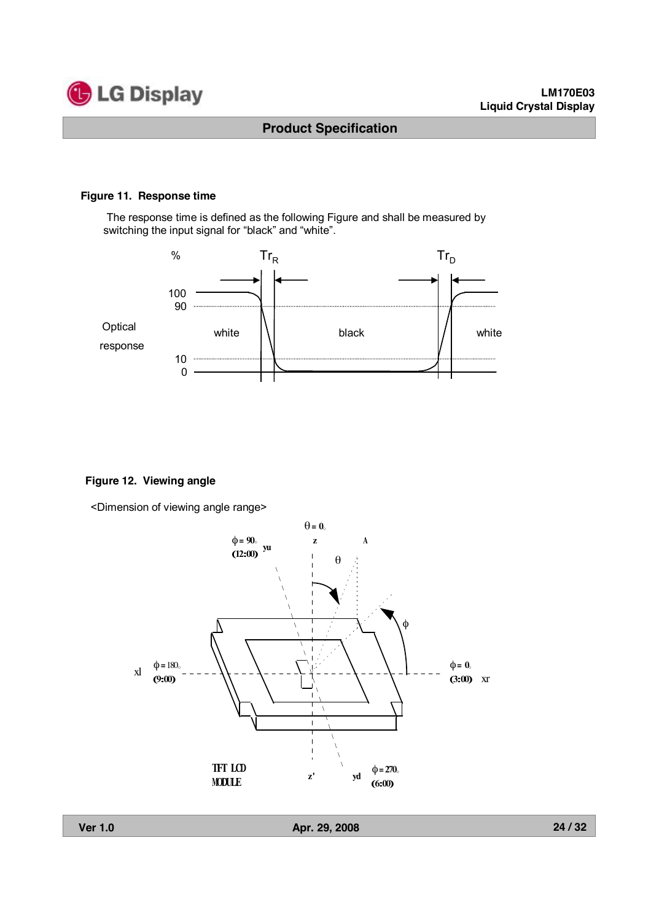

#### **Figure 11. Response time**

The response time is defined as the following Figure and shall be measured by switching the input signal for "black" and "white".



#### **Figure 12. Viewing angle**

<Dimension of viewing angle range>

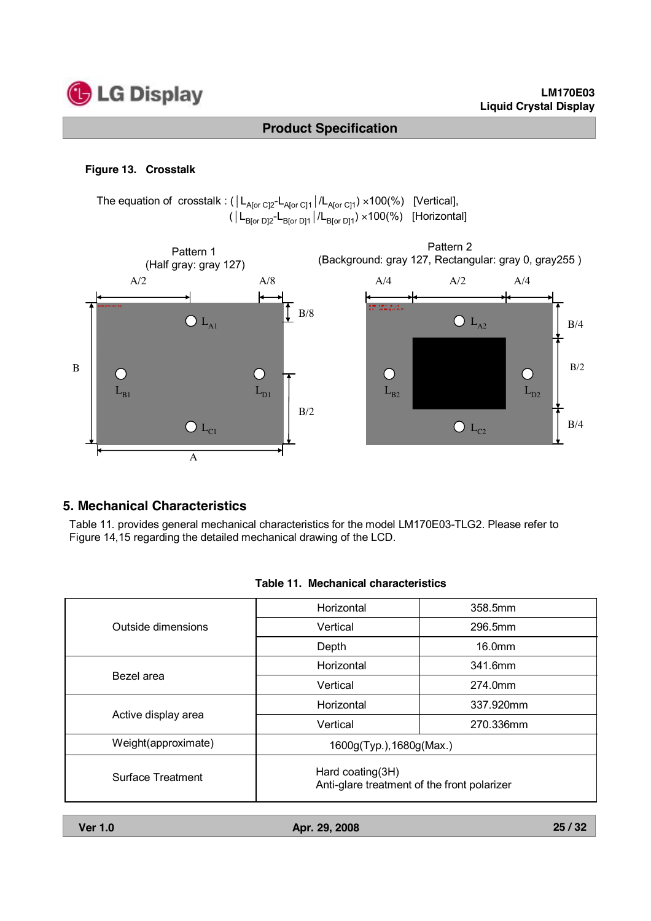

#### **Figure 13. Crosstalk**

The equation of crosstalk :  $(|L_{A[or\ C]2}-L_{A[or\ C]1}|/L_{A[or\ C]1}) \times 100(\%)$  [Vertical],  $(|L_{B[or\ D]2}L_{B[or\ D]1}|/L_{B[or\ D]1}) \times 100(\%)$  [Horizontal]



#### **5. Mechanical Characteristics**

Table 11. provides general mechanical characteristics for the model LM170E03-TLG2. Please refer to Figure 14,15 regarding the detailed mechanical drawing of the LCD.

|  | Table 11. Mechanical characteristics |
|--|--------------------------------------|
|--|--------------------------------------|

|                     | Horizontal                                                      | 358.5mm   |  |  |  |
|---------------------|-----------------------------------------------------------------|-----------|--|--|--|
| Outside dimensions  | Vertical                                                        | 296.5mm   |  |  |  |
|                     | Depth                                                           | 16.0mm    |  |  |  |
|                     | Horizontal                                                      | 341.6mm   |  |  |  |
| Bezel area          | Vertical                                                        | 274.0mm   |  |  |  |
|                     | Horizontal                                                      | 337.920mm |  |  |  |
| Active display area | Vertical                                                        | 270.336mm |  |  |  |
| Weight(approximate) | 1600g(Typ.), 1680g(Max.)                                        |           |  |  |  |
| Surface Treatment   | Hard coating(3H)<br>Anti-glare treatment of the front polarizer |           |  |  |  |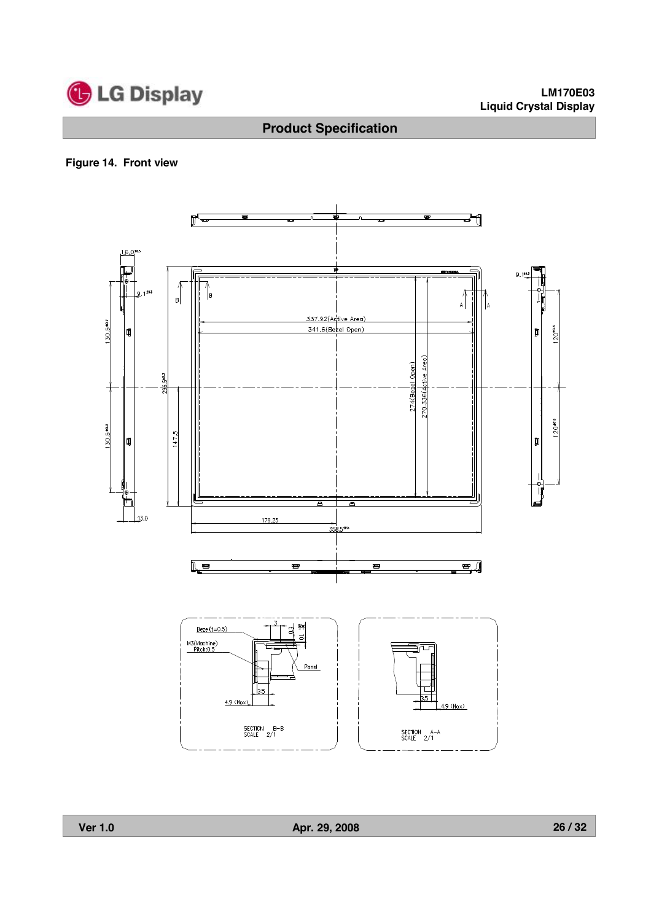

### **Figure 14. Front view**

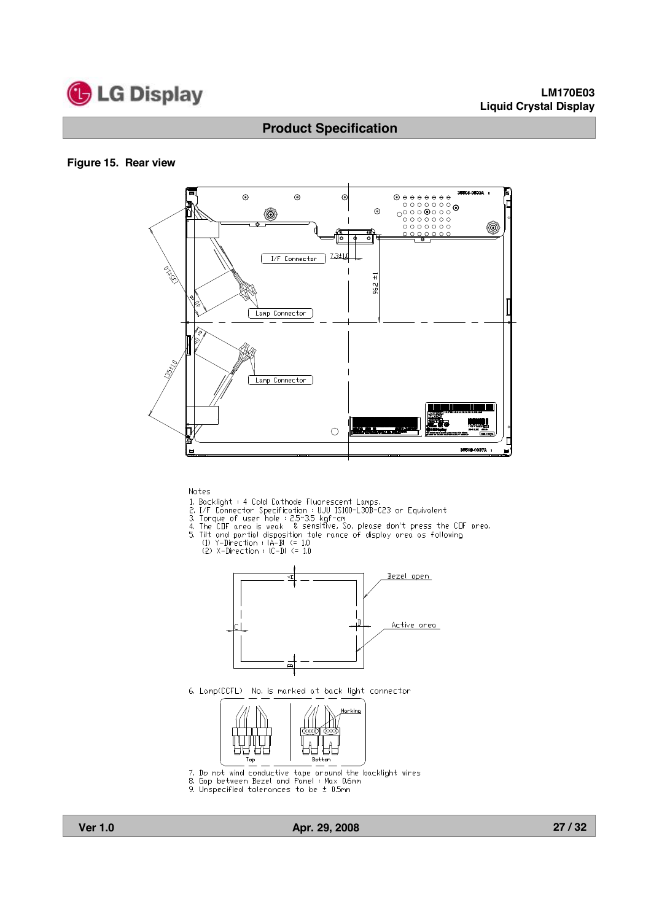

#### **Figure 15. Rear view**



Notes

- 
- 
- 
- Notes<br>
2. Backlight : 4 Cold Cathode Fluorescent Lamps.<br>
2. I/F Connector Specification : UJU IS100-L30B-C23 or Equivalent<br>
3. Torque of user hole : 2.5~3.5 kgf-cm<br>
4. The CDF area is weak & sensitive, So, please don't pre
	-



6. Lamp(CCFL) No. is marked at back light connector



- 7. Do not wind conductive tape around the backlight wires<br>8. Gap between Bezel and Panel : Max 0.6mm<br>9. Unspecified tolerances to be  $\pm$  0.5mm
- 
-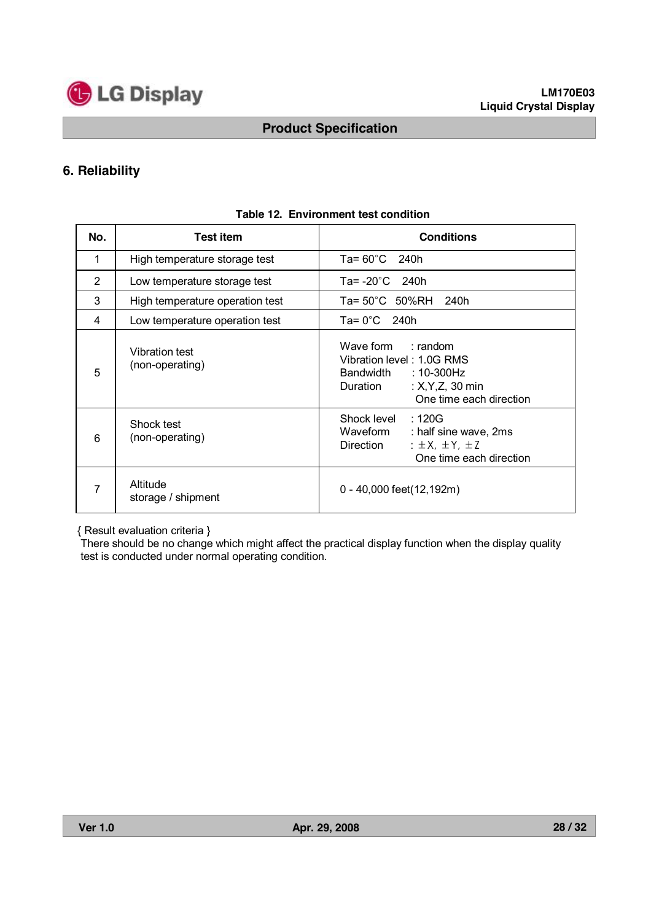

# **6. Reliability**

| No. | <b>Test item</b>                  | <b>Conditions</b>                                                                                                                       |  |  |  |  |  |  |
|-----|-----------------------------------|-----------------------------------------------------------------------------------------------------------------------------------------|--|--|--|--|--|--|
| 1   | High temperature storage test     | Ta= $60^{\circ}$ C 240h                                                                                                                 |  |  |  |  |  |  |
| 2   | Low temperature storage test      | Ta= $-20^{\circ}$ C 240h                                                                                                                |  |  |  |  |  |  |
| 3   | High temperature operation test   | Ta= 50°C 50%RH 240h                                                                                                                     |  |  |  |  |  |  |
| 4   | Low temperature operation test    | $Ta = 0^{\circ}C$ 240h                                                                                                                  |  |  |  |  |  |  |
| 5   | Vibration test<br>(non-operating) | Wave form : random<br>Vibration level: 1.0G RMS<br>Bandwidth<br>:10-300Hz<br>: $X, Y, Z, 30$ min<br>Duration<br>One time each direction |  |  |  |  |  |  |
| 6   | Shock test<br>(non-operating)     | Shock level<br>:120G<br>Waveform<br>: half sine wave, 2ms<br>: $\pm$ X, $\pm$ Y, $\pm$ Z<br>Direction<br>One time each direction        |  |  |  |  |  |  |
| 7   | Altitude<br>storage / shipment    | 0 - 40,000 feet(12,192m)                                                                                                                |  |  |  |  |  |  |

#### **Table 12. Environment test condition**

{ Result evaluation criteria }

There should be no change which might affect the practical display function when the display quality test is conducted under normal operating condition.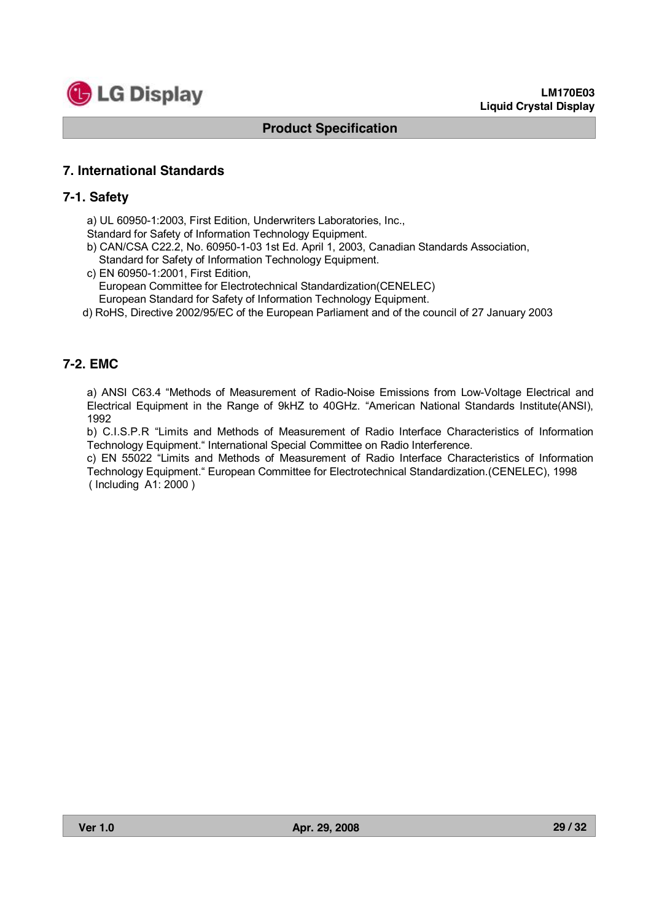

# **7. International Standards**

#### **7-1. Safety**

a) UL 60950-1:2003, First Edition, Underwriters Laboratories, Inc.,

Standard for Safety of Information Technology Equipment.

- b) CAN/CSA C22.2, No. 60950-1-03 1st Ed. April 1, 2003, Canadian Standards Association, Standard for Safety of Information Technology Equipment.
- c) EN 60950-1:2001, First Edition, European Committee for Electrotechnical Standardization(CENELEC) European Standard for Safety of Information Technology Equipment.
- d) RoHS, Directive 2002/95/EC of the European Parliament and of the council of 27 January 2003

# **7-2. EMC**

a) ANSI C63.4 "Methods of Measurement of Radio-Noise Emissions from Low-Voltage Electrical and Electrical Equipment in the Range of 9kHZ to 40GHz. "American National Standards Institute(ANSI), 1992

b) C.I.S.P.R "Limits and Methods of Measurement of Radio Interface Characteristics of Information Technology Equipment." International Special Committee on Radio Interference.

c) EN 55022 "Limits and Methods of Measurement of Radio Interface Characteristics of Information Technology Equipment." European Committee for Electrotechnical Standardization.(CENELEC), 1998 ( Including A1: 2000 )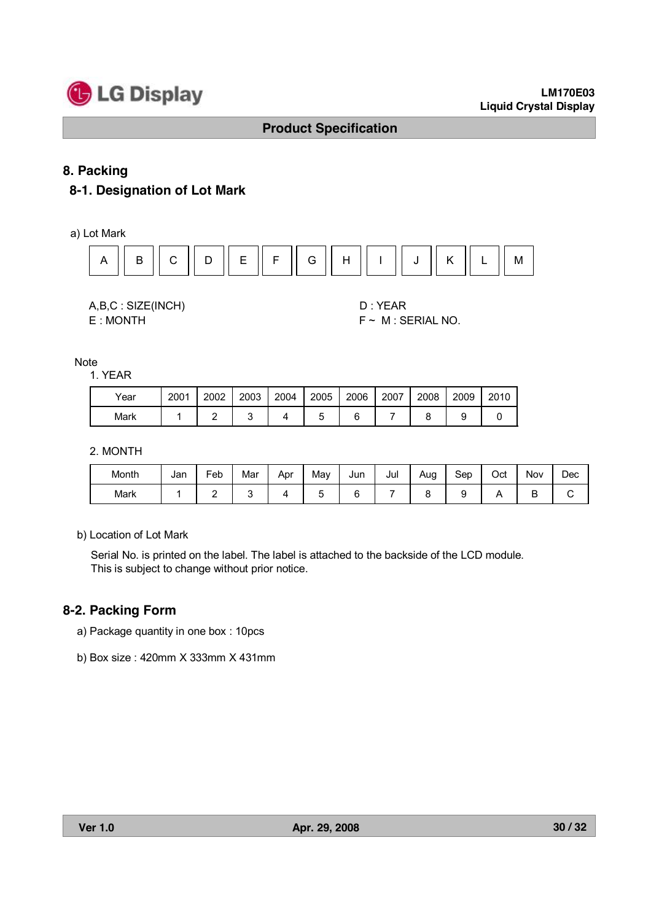

# **8. Packing**

# **8-1. Designation of Lot Mark**

a) Lot Mark



A,B,C : SIZE(INCH) D : YEAR

 $E : MONTH$   $F \sim M : SERIAL NO.$ 

Note

1. YEAR

| Year | 2001 | 2002 | 2003 | 2004 | 2005 | 2006 | 2007 | 2008 | 2009 | 2010 |
|------|------|------|------|------|------|------|------|------|------|------|
| Mark |      |      |      |      |      |      |      |      |      |      |

2. MONTH

| Month | Jan | -<br>=eb | Mar | Apr | Mav | Jun | Jul | Aug | Sep | Oct | <b>Nov</b> | Dec |
|-------|-----|----------|-----|-----|-----|-----|-----|-----|-----|-----|------------|-----|
| Mark  |     | ∸        |     |     | ∽   | -   |     |     |     |     | -<br>◡     | ັ   |

b) Location of Lot Mark

Serial No. is printed on the label. The label is attached to the backside of the LCD module. This is subject to change without prior notice.

### **8-2. Packing Form**

- a) Package quantity in one box : 10pcs
- b) Box size : 420mm X 333mm X 431mm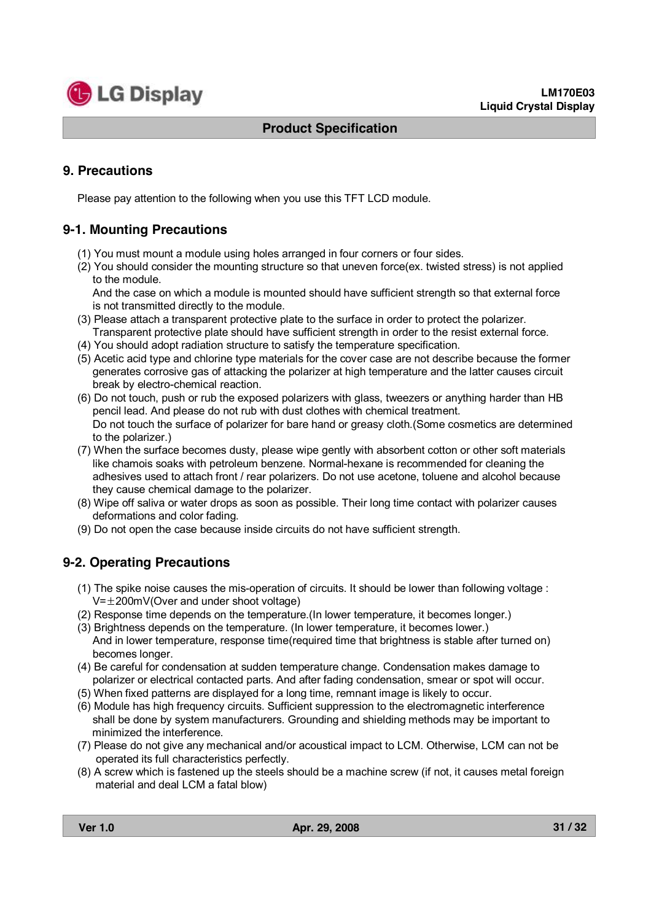

# **9. Precautions**

Please pay attention to the following when you use this TFT LCD module.

# **9-1. Mounting Precautions**

- (1) You must mount a module using holes arranged in four corners or four sides.
- (2) You should consider the mounting structure so that uneven force(ex. twisted stress) is not applied to the module.

And the case on which a module is mounted should have sufficient strength so that external force is not transmitted directly to the module.

- (3) Please attach a transparent protective plate to the surface in order to protect the polarizer. Transparent protective plate should have sufficient strength in order to the resist external force.
- (4) You should adopt radiation structure to satisfy the temperature specification.
- (5) Acetic acid type and chlorine type materials for the cover case are not describe because the former generates corrosive gas of attacking the polarizer at high temperature and the latter causes circuit break by electro-chemical reaction.
- (6) Do not touch, push or rub the exposed polarizers with glass, tweezers or anything harder than HB pencil lead. And please do not rub with dust clothes with chemical treatment. Do not touch the surface of polarizer for bare hand or greasy cloth.(Some cosmetics are determined to the polarizer.)
- (7) When the surface becomes dusty, please wipe gently with absorbent cotton or other soft materials like chamois soaks with petroleum benzene. Normal-hexane is recommended for cleaning the adhesives used to attach front / rear polarizers. Do not use acetone, toluene and alcohol because they cause chemical damage to the polarizer.
- (8) Wipe off saliva or water drops as soon as possible. Their long time contact with polarizer causes deformations and color fading.
- (9) Do not open the case because inside circuits do not have sufficient strength.

# **9-2. Operating Precautions**

- (1) The spike noise causes the mis-operation of circuits. It should be lower than following voltage :  $V=\pm 200$ mV(Over and under shoot voltage)
- (2) Response time depends on the temperature.(In lower temperature, it becomes longer.)
- (3) Brightness depends on the temperature. (In lower temperature, it becomes lower.) And in lower temperature, response time(required time that brightness is stable after turned on) becomes longer.
- (4) Be careful for condensation at sudden temperature change. Condensation makes damage to polarizer or electrical contacted parts. And after fading condensation, smear or spot will occur.
- (5) When fixed patterns are displayed for a long time, remnant image is likely to occur.
- (6) Module has high frequency circuits. Sufficient suppression to the electromagnetic interference shall be done by system manufacturers. Grounding and shielding methods may be important to minimized the interference.
- (7) Please do not give any mechanical and/or acoustical impact to LCM. Otherwise, LCM can not be operated its full characteristics perfectly.
- (8) A screw which is fastened up the steels should be a machine screw (if not, it causes metal foreign material and deal LCM a fatal blow)